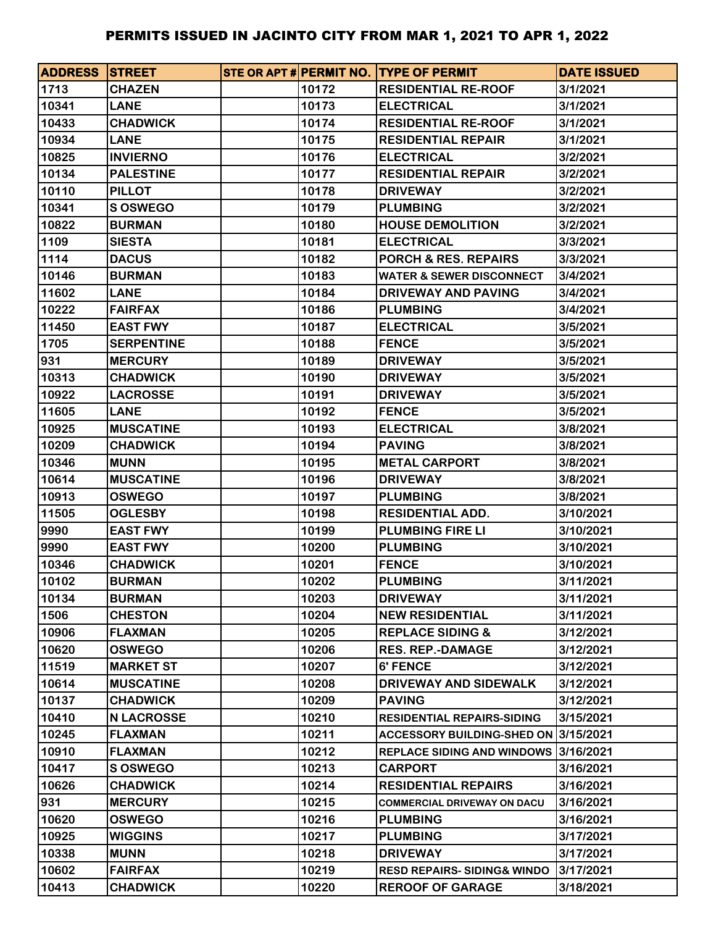| <b>ADDRESS STREET</b> |                   |       | STE OR APT # PERMIT NO. TYPE OF PERMIT | <b>DATE ISSUED</b> |
|-----------------------|-------------------|-------|----------------------------------------|--------------------|
| 1713                  | <b>CHAZEN</b>     | 10172 | <b>RESIDENTIAL RE-ROOF</b>             | 3/1/2021           |
| 10341                 | <b>LANE</b>       | 10173 | <b>ELECTRICAL</b>                      | 3/1/2021           |
| 10433                 | <b>CHADWICK</b>   | 10174 | <b>RESIDENTIAL RE-ROOF</b>             | 3/1/2021           |
| 10934                 | <b>LANE</b>       | 10175 | <b>RESIDENTIAL REPAIR</b>              | 3/1/2021           |
| 10825                 | <b>INVIERNO</b>   | 10176 | <b>ELECTRICAL</b>                      | 3/2/2021           |
| 10134                 | <b>PALESTINE</b>  | 10177 | <b>RESIDENTIAL REPAIR</b>              | 3/2/2021           |
| 10110                 | <b>PILLOT</b>     | 10178 | <b>DRIVEWAY</b>                        | 3/2/2021           |
| 10341                 | <b>S OSWEGO</b>   | 10179 | <b>PLUMBING</b>                        | 3/2/2021           |
| 10822                 | <b>BURMAN</b>     | 10180 | <b>HOUSE DEMOLITION</b>                | 3/2/2021           |
| 1109                  | <b>SIESTA</b>     | 10181 | <b>ELECTRICAL</b>                      | 3/3/2021           |
| 1114                  | <b>DACUS</b>      | 10182 | <b>PORCH &amp; RES. REPAIRS</b>        | 3/3/2021           |
| 10146                 | <b>BURMAN</b>     | 10183 | <b>WATER &amp; SEWER DISCONNECT</b>    | 3/4/2021           |
| 11602                 | <b>LANE</b>       | 10184 | DRIVEWAY AND PAVING                    | 3/4/2021           |
| 10222                 | <b>FAIRFAX</b>    | 10186 | <b>PLUMBING</b>                        | 3/4/2021           |
| 11450                 | <b>EAST FWY</b>   | 10187 | <b>ELECTRICAL</b>                      | 3/5/2021           |
| 1705                  | <b>SERPENTINE</b> | 10188 | <b>FENCE</b>                           | 3/5/2021           |
| 931                   | <b>MERCURY</b>    | 10189 | <b>DRIVEWAY</b>                        | 3/5/2021           |
| 10313                 | <b>CHADWICK</b>   | 10190 | <b>DRIVEWAY</b>                        | 3/5/2021           |
| 10922                 | <b>LACROSSE</b>   | 10191 | <b>DRIVEWAY</b>                        | 3/5/2021           |
| 11605                 | <b>LANE</b>       | 10192 | <b>FENCE</b>                           | 3/5/2021           |
| 10925                 | <b>MUSCATINE</b>  | 10193 | <b>ELECTRICAL</b>                      | 3/8/2021           |
| 10209                 | <b>CHADWICK</b>   | 10194 | <b>PAVING</b>                          | 3/8/2021           |
| 10346                 | <b>MUNN</b>       | 10195 | <b>METAL CARPORT</b>                   | 3/8/2021           |
| 10614                 | <b>MUSCATINE</b>  | 10196 | <b>DRIVEWAY</b>                        | 3/8/2021           |
| 10913                 | <b>OSWEGO</b>     | 10197 | <b>PLUMBING</b>                        | 3/8/2021           |
| 11505                 | <b>OGLESBY</b>    | 10198 | <b>RESIDENTIAL ADD.</b>                | 3/10/2021          |
| 9990                  | <b>EAST FWY</b>   | 10199 | <b>PLUMBING FIRE LI</b>                | 3/10/2021          |
| 9990                  | <b>EAST FWY</b>   | 10200 | <b>PLUMBING</b>                        | 3/10/2021          |
| 10346                 | <b>CHADWICK</b>   | 10201 | <b>FENCE</b>                           | 3/10/2021          |
| 10102                 | <b>BURMAN</b>     | 10202 | <b>PLUMBING</b>                        | 3/11/2021          |
| 10134                 | <b>BURMAN</b>     | 10203 | <b>DRIVEWAY</b>                        | 3/11/2021          |
| 1506                  | <b>CHESTON</b>    | 10204 | <b>NEW RESIDENTIAL</b>                 | 3/11/2021          |
| 10906                 | <b>FLAXMAN</b>    | 10205 | <b>REPLACE SIDING &amp;</b>            | 3/12/2021          |
| 10620                 | <b>OSWEGO</b>     | 10206 | <b>RES. REP.-DAMAGE</b>                | 3/12/2021          |
| 11519                 | <b>MARKET ST</b>  | 10207 | 6' FENCE                               | 3/12/2021          |
| 10614                 | <b>MUSCATINE</b>  | 10208 | DRIVEWAY AND SIDEWALK                  | 3/12/2021          |
| 10137                 | <b>CHADWICK</b>   | 10209 | <b>PAVING</b>                          | 3/12/2021          |
| 10410                 | <b>N LACROSSE</b> | 10210 | <b>RESIDENTIAL REPAIRS-SIDING</b>      | 3/15/2021          |
| 10245                 | <b>FLAXMAN</b>    | 10211 | ACCESSORY BUILDING-SHED ON 3/15/2021   |                    |
| 10910                 | <b>FLAXMAN</b>    | 10212 | <b>REPLACE SIDING AND WINDOWS</b>      | 3/16/2021          |
| 10417                 | S OSWEGO          | 10213 | <b>CARPORT</b>                         | 3/16/2021          |
| 10626                 | <b>CHADWICK</b>   | 10214 | <b>RESIDENTIAL REPAIRS</b>             | 3/16/2021          |
| 931                   | <b>MERCURY</b>    | 10215 | <b>COMMERCIAL DRIVEWAY ON DACU</b>     | 3/16/2021          |
| 10620                 | <b>OSWEGO</b>     | 10216 | <b>PLUMBING</b>                        | 3/16/2021          |
| 10925                 | <b>WIGGINS</b>    | 10217 | <b>PLUMBING</b>                        | 3/17/2021          |
| 10338                 | <b>MUNN</b>       | 10218 | <b>DRIVEWAY</b>                        | 3/17/2021          |
| 10602                 | <b>FAIRFAX</b>    | 10219 | <b>RESD REPAIRS-SIDING&amp; WINDO</b>  | 3/17/2021          |
| 10413                 | <b>CHADWICK</b>   | 10220 | <b>REROOF OF GARAGE</b>                | 3/18/2021          |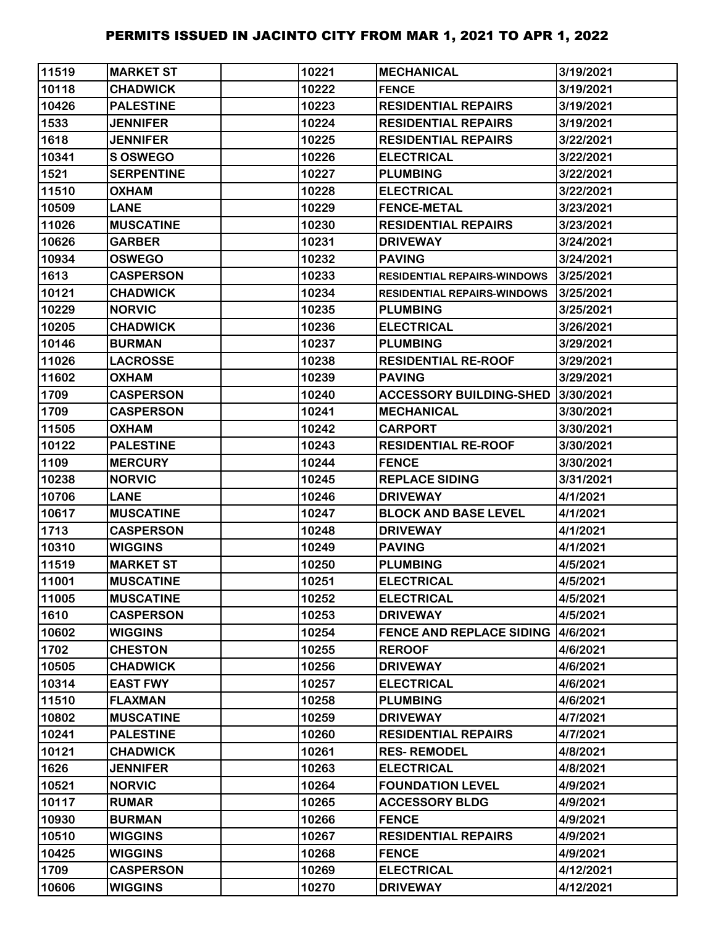| 11519 | <b>MARKET ST</b>  | 10221 | <b>MECHANICAL</b>                  | 3/19/2021 |
|-------|-------------------|-------|------------------------------------|-----------|
| 10118 | <b>CHADWICK</b>   | 10222 | <b>FENCE</b>                       | 3/19/2021 |
| 10426 | <b>PALESTINE</b>  | 10223 | <b>RESIDENTIAL REPAIRS</b>         | 3/19/2021 |
| 1533  | <b>JENNIFER</b>   | 10224 | <b>RESIDENTIAL REPAIRS</b>         | 3/19/2021 |
| 1618  | <b>JENNIFER</b>   | 10225 | <b>RESIDENTIAL REPAIRS</b>         | 3/22/2021 |
| 10341 | <b>SOSWEGO</b>    | 10226 | <b>ELECTRICAL</b>                  | 3/22/2021 |
| 1521  | <b>SERPENTINE</b> | 10227 | <b>PLUMBING</b>                    | 3/22/2021 |
| 11510 | <b>OXHAM</b>      | 10228 | <b>ELECTRICAL</b>                  | 3/22/2021 |
| 10509 | <b>LANE</b>       | 10229 | <b>FENCE-METAL</b>                 | 3/23/2021 |
| 11026 | <b>MUSCATINE</b>  | 10230 | <b>RESIDENTIAL REPAIRS</b>         | 3/23/2021 |
| 10626 | <b>GARBER</b>     | 10231 | <b>DRIVEWAY</b>                    | 3/24/2021 |
| 10934 | <b>OSWEGO</b>     | 10232 | <b>PAVING</b>                      | 3/24/2021 |
| 1613  | <b>CASPERSON</b>  | 10233 | <b>RESIDENTIAL REPAIRS-WINDOWS</b> | 3/25/2021 |
| 10121 | <b>CHADWICK</b>   | 10234 | <b>RESIDENTIAL REPAIRS-WINDOWS</b> | 3/25/2021 |
| 10229 | <b>NORVIC</b>     | 10235 | <b>PLUMBING</b>                    | 3/25/2021 |
| 10205 | <b>CHADWICK</b>   | 10236 | <b>ELECTRICAL</b>                  | 3/26/2021 |
| 10146 | <b>BURMAN</b>     | 10237 | <b>PLUMBING</b>                    | 3/29/2021 |
| 11026 | <b>LACROSSE</b>   | 10238 | <b>RESIDENTIAL RE-ROOF</b>         | 3/29/2021 |
| 11602 | <b>OXHAM</b>      | 10239 | <b>PAVING</b>                      | 3/29/2021 |
| 1709  | <b>CASPERSON</b>  | 10240 | <b>ACCESSORY BUILDING-SHED</b>     | 3/30/2021 |
| 1709  | <b>CASPERSON</b>  | 10241 | <b>MECHANICAL</b>                  | 3/30/2021 |
| 11505 | <b>OXHAM</b>      | 10242 | <b>CARPORT</b>                     | 3/30/2021 |
| 10122 | <b>PALESTINE</b>  | 10243 | <b>RESIDENTIAL RE-ROOF</b>         | 3/30/2021 |
| 1109  | <b>MERCURY</b>    | 10244 | <b>FENCE</b>                       | 3/30/2021 |
| 10238 | <b>NORVIC</b>     | 10245 | <b>REPLACE SIDING</b>              | 3/31/2021 |
| 10706 | <b>LANE</b>       | 10246 | <b>DRIVEWAY</b>                    | 4/1/2021  |
| 10617 | <b>MUSCATINE</b>  | 10247 | <b>BLOCK AND BASE LEVEL</b>        | 4/1/2021  |
| 1713  | <b>CASPERSON</b>  | 10248 | <b>DRIVEWAY</b>                    | 4/1/2021  |
| 10310 | <b>WIGGINS</b>    | 10249 | <b>PAVING</b>                      | 4/1/2021  |
| 11519 | <b>MARKET ST</b>  | 10250 | <b>PLUMBING</b>                    | 4/5/2021  |
| 11001 | <b>MUSCATINE</b>  | 10251 | <b>ELECTRICAL</b>                  | 4/5/2021  |
| 11005 | <b>MUSCATINE</b>  | 10252 | <b>ELECTRICAL</b>                  | 4/5/2021  |
| 1610  | <b>CASPERSON</b>  | 10253 | <b>DRIVEWAY</b>                    | 4/5/2021  |
| 10602 | <b>WIGGINS</b>    | 10254 | <b>FENCE AND REPLACE SIDING</b>    | 4/6/2021  |
| 1702  | <b>CHESTON</b>    | 10255 | <b>REROOF</b>                      | 4/6/2021  |
| 10505 | <b>CHADWICK</b>   | 10256 | <b>DRIVEWAY</b>                    | 4/6/2021  |
| 10314 | <b>EAST FWY</b>   | 10257 | <b>ELECTRICAL</b>                  | 4/6/2021  |
| 11510 | <b>FLAXMAN</b>    | 10258 | <b>PLUMBING</b>                    | 4/6/2021  |
| 10802 | <b>MUSCATINE</b>  | 10259 | <b>DRIVEWAY</b>                    | 4/7/2021  |
| 10241 | <b>PALESTINE</b>  | 10260 | <b>RESIDENTIAL REPAIRS</b>         | 4/7/2021  |
| 10121 | <b>CHADWICK</b>   | 10261 | <b>RES-REMODEL</b>                 | 4/8/2021  |
| 1626  | <b>JENNIFER</b>   | 10263 | <b>ELECTRICAL</b>                  | 4/8/2021  |
| 10521 | <b>NORVIC</b>     | 10264 | <b>FOUNDATION LEVEL</b>            | 4/9/2021  |
| 10117 | <b>RUMAR</b>      | 10265 | <b>ACCESSORY BLDG</b>              | 4/9/2021  |
| 10930 | <b>BURMAN</b>     | 10266 | <b>FENCE</b>                       | 4/9/2021  |
| 10510 | <b>WIGGINS</b>    | 10267 | <b>RESIDENTIAL REPAIRS</b>         | 4/9/2021  |
| 10425 | <b>WIGGINS</b>    | 10268 | <b>FENCE</b>                       | 4/9/2021  |
| 1709  | <b>CASPERSON</b>  | 10269 | <b>ELECTRICAL</b>                  | 4/12/2021 |
| 10606 | <b>WIGGINS</b>    | 10270 | <b>DRIVEWAY</b>                    | 4/12/2021 |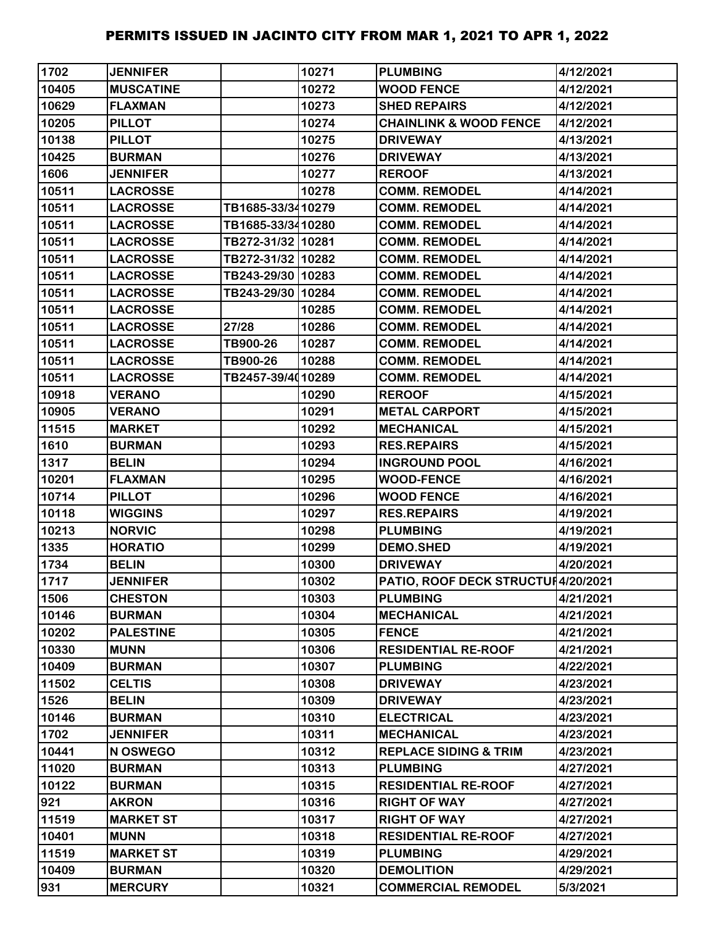| 1702  | <b>JENNIFER</b>  |                   | 10271 | <b>PLUMBING</b>                    | 4/12/2021 |
|-------|------------------|-------------------|-------|------------------------------------|-----------|
| 10405 | <b>MUSCATINE</b> |                   | 10272 | <b>WOOD FENCE</b>                  | 4/12/2021 |
| 10629 | <b>FLAXMAN</b>   |                   | 10273 | <b>SHED REPAIRS</b>                | 4/12/2021 |
| 10205 | <b>PILLOT</b>    |                   | 10274 | <b>CHAINLINK &amp; WOOD FENCE</b>  | 4/12/2021 |
| 10138 | <b>PILLOT</b>    |                   | 10275 | <b>DRIVEWAY</b>                    | 4/13/2021 |
| 10425 | <b>BURMAN</b>    |                   | 10276 | <b>DRIVEWAY</b>                    | 4/13/2021 |
| 1606  | <b>JENNIFER</b>  |                   | 10277 | <b>REROOF</b>                      | 4/13/2021 |
| 10511 | <b>LACROSSE</b>  |                   | 10278 | <b>COMM. REMODEL</b>               | 4/14/2021 |
| 10511 | <b>LACROSSE</b>  | TB1685-33/3410279 |       | <b>COMM. REMODEL</b>               | 4/14/2021 |
| 10511 | <b>LACROSSE</b>  | TB1685-33/3410280 |       | <b>COMM. REMODEL</b>               | 4/14/2021 |
| 10511 | <b>LACROSSE</b>  | TB272-31/32 10281 |       | <b>COMM. REMODEL</b>               | 4/14/2021 |
| 10511 | <b>LACROSSE</b>  | TB272-31/32 10282 |       | <b>COMM. REMODEL</b>               | 4/14/2021 |
| 10511 | <b>LACROSSE</b>  | TB243-29/30 10283 |       | <b>COMM. REMODEL</b>               | 4/14/2021 |
| 10511 | <b>LACROSSE</b>  | TB243-29/30 10284 |       | <b>COMM. REMODEL</b>               | 4/14/2021 |
| 10511 | <b>LACROSSE</b>  |                   | 10285 | <b>COMM. REMODEL</b>               | 4/14/2021 |
| 10511 | <b>LACROSSE</b>  | 27/28             | 10286 | <b>COMM. REMODEL</b>               | 4/14/2021 |
| 10511 | <b>LACROSSE</b>  | TB900-26          | 10287 | <b>COMM. REMODEL</b>               | 4/14/2021 |
| 10511 | <b>LACROSSE</b>  | TB900-26          | 10288 | <b>COMM. REMODEL</b>               | 4/14/2021 |
| 10511 | <b>LACROSSE</b>  | TB2457-39/4010289 |       | <b>COMM. REMODEL</b>               | 4/14/2021 |
| 10918 | <b>VERANO</b>    |                   | 10290 | <b>REROOF</b>                      | 4/15/2021 |
| 10905 | <b>VERANO</b>    |                   | 10291 | <b>METAL CARPORT</b>               | 4/15/2021 |
| 11515 | <b>MARKET</b>    |                   | 10292 | <b>MECHANICAL</b>                  | 4/15/2021 |
| 1610  | <b>BURMAN</b>    |                   | 10293 | <b>RES.REPAIRS</b>                 | 4/15/2021 |
| 1317  | <b>BELIN</b>     |                   | 10294 | <b>INGROUND POOL</b>               | 4/16/2021 |
| 10201 | <b>FLAXMAN</b>   |                   | 10295 | <b>WOOD-FENCE</b>                  | 4/16/2021 |
| 10714 | <b>PILLOT</b>    |                   | 10296 | <b>WOOD FENCE</b>                  | 4/16/2021 |
| 10118 | <b>WIGGINS</b>   |                   | 10297 | <b>RES.REPAIRS</b>                 | 4/19/2021 |
| 10213 | <b>NORVIC</b>    |                   | 10298 | <b>PLUMBING</b>                    | 4/19/2021 |
| 1335  | <b>HORATIO</b>   |                   | 10299 | <b>DEMO.SHED</b>                   | 4/19/2021 |
| 1734  | <b>BELIN</b>     |                   | 10300 | <b>DRIVEWAY</b>                    | 4/20/2021 |
| 1717  | <b>JENNIFER</b>  |                   | 10302 | PATIO, ROOF DECK STRUCTU 4/20/2021 |           |
| 1506  | <b>CHESTON</b>   |                   | 10303 | <b>PLUMBING</b>                    | 4/21/2021 |
| 10146 | <b>BURMAN</b>    |                   | 10304 | <b>MECHANICAL</b>                  | 4/21/2021 |
| 10202 | <b>PALESTINE</b> |                   | 10305 | <b>FENCE</b>                       | 4/21/2021 |
| 10330 | <b>MUNN</b>      |                   | 10306 | <b>RESIDENTIAL RE-ROOF</b>         | 4/21/2021 |
| 10409 | <b>BURMAN</b>    |                   | 10307 | <b>PLUMBING</b>                    | 4/22/2021 |
| 11502 | <b>CELTIS</b>    |                   | 10308 | <b>DRIVEWAY</b>                    | 4/23/2021 |
| 1526  | <b>BELIN</b>     |                   | 10309 | <b>DRIVEWAY</b>                    | 4/23/2021 |
| 10146 | <b>BURMAN</b>    |                   | 10310 | <b>ELECTRICAL</b>                  | 4/23/2021 |
| 1702  | <b>JENNIFER</b>  |                   | 10311 | <b>MECHANICAL</b>                  | 4/23/2021 |
| 10441 | N OSWEGO         |                   | 10312 | <b>REPLACE SIDING &amp; TRIM</b>   | 4/23/2021 |
| 11020 | <b>BURMAN</b>    |                   | 10313 | <b>PLUMBING</b>                    | 4/27/2021 |
| 10122 | <b>BURMAN</b>    |                   | 10315 | <b>RESIDENTIAL RE-ROOF</b>         | 4/27/2021 |
| 921   | <b>AKRON</b>     |                   | 10316 | <b>RIGHT OF WAY</b>                | 4/27/2021 |
| 11519 | <b>MARKET ST</b> |                   | 10317 | <b>RIGHT OF WAY</b>                | 4/27/2021 |
| 10401 | <b>MUNN</b>      |                   | 10318 | <b>RESIDENTIAL RE-ROOF</b>         | 4/27/2021 |
| 11519 | <b>MARKET ST</b> |                   | 10319 | <b>PLUMBING</b>                    | 4/29/2021 |
| 10409 | <b>BURMAN</b>    |                   | 10320 | <b>DEMOLITION</b>                  | 4/29/2021 |
| 931   | <b>MERCURY</b>   |                   | 10321 | <b>COMMERCIAL REMODEL</b>          | 5/3/2021  |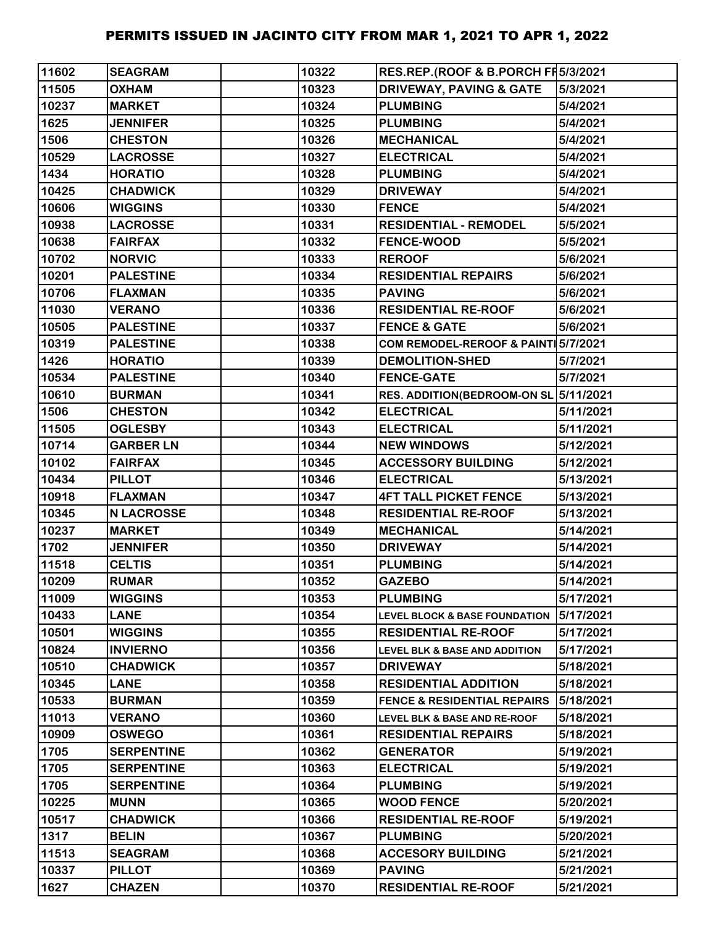| 11602 | <b>SEAGRAM</b>    | 10322 | RES.REP.(ROOF & B.PORCH FF 5/3/2021      |           |
|-------|-------------------|-------|------------------------------------------|-----------|
| 11505 | <b>OXHAM</b>      | 10323 | <b>DRIVEWAY, PAVING &amp; GATE</b>       | 5/3/2021  |
| 10237 | <b>MARKET</b>     | 10324 | <b>PLUMBING</b>                          | 5/4/2021  |
| 1625  | <b>JENNIFER</b>   | 10325 | <b>PLUMBING</b>                          | 5/4/2021  |
| 1506  | <b>CHESTON</b>    | 10326 | <b>MECHANICAL</b>                        | 5/4/2021  |
| 10529 | <b>LACROSSE</b>   | 10327 | <b>ELECTRICAL</b>                        | 5/4/2021  |
| 1434  | <b>HORATIO</b>    | 10328 | <b>PLUMBING</b>                          | 5/4/2021  |
| 10425 | <b>CHADWICK</b>   | 10329 | <b>DRIVEWAY</b>                          | 5/4/2021  |
| 10606 | <b>WIGGINS</b>    | 10330 | <b>FENCE</b>                             | 5/4/2021  |
| 10938 | <b>LACROSSE</b>   | 10331 | <b>RESIDENTIAL - REMODEL</b>             | 5/5/2021  |
| 10638 | <b>FAIRFAX</b>    | 10332 | <b>FENCE-WOOD</b>                        | 5/5/2021  |
| 10702 | <b>NORVIC</b>     | 10333 | <b>REROOF</b>                            | 5/6/2021  |
| 10201 | <b>PALESTINE</b>  | 10334 | <b>RESIDENTIAL REPAIRS</b>               | 5/6/2021  |
| 10706 | <b>FLAXMAN</b>    | 10335 | <b>PAVING</b>                            | 5/6/2021  |
| 11030 | <b>VERANO</b>     | 10336 | <b>RESIDENTIAL RE-ROOF</b>               | 5/6/2021  |
| 10505 | <b>PALESTINE</b>  | 10337 | <b>FENCE &amp; GATE</b>                  | 5/6/2021  |
| 10319 | <b>PALESTINE</b>  | 10338 | COM REMODEL-REROOF & PAINT 5/7/2021      |           |
| 1426  | <b>HORATIO</b>    | 10339 | <b>DEMOLITION-SHED</b>                   | 5/7/2021  |
| 10534 | <b>PALESTINE</b>  | 10340 | <b>FENCE-GATE</b>                        | 5/7/2021  |
| 10610 | <b>BURMAN</b>     | 10341 | RES. ADDITION(BEDROOM-ON SL 5/11/2021    |           |
| 1506  | <b>CHESTON</b>    | 10342 | <b>ELECTRICAL</b>                        | 5/11/2021 |
| 11505 | <b>OGLESBY</b>    | 10343 | <b>ELECTRICAL</b>                        | 5/11/2021 |
| 10714 | <b>GARBER LN</b>  | 10344 | <b>NEW WINDOWS</b>                       | 5/12/2021 |
| 10102 | <b>FAIRFAX</b>    | 10345 | <b>ACCESSORY BUILDING</b>                | 5/12/2021 |
| 10434 | <b>PILLOT</b>     | 10346 | <b>ELECTRICAL</b>                        | 5/13/2021 |
| 10918 | <b>FLAXMAN</b>    | 10347 | <b>4FT TALL PICKET FENCE</b>             | 5/13/2021 |
| 10345 | <b>N LACROSSE</b> | 10348 | <b>RESIDENTIAL RE-ROOF</b>               | 5/13/2021 |
| 10237 | <b>MARKET</b>     | 10349 | <b>MECHANICAL</b>                        | 5/14/2021 |
| 1702  | <b>JENNIFER</b>   | 10350 | <b>DRIVEWAY</b>                          | 5/14/2021 |
| 11518 | <b>CELTIS</b>     | 10351 | <b>PLUMBING</b>                          | 5/14/2021 |
| 10209 | <b>RUMAR</b>      | 10352 | <b>GAZEBO</b>                            | 5/14/2021 |
| 11009 | <b>WIGGINS</b>    | 10353 | <b>PLUMBING</b>                          | 5/17/2021 |
| 10433 | <b>LANE</b>       | 10354 | <b>LEVEL BLOCK &amp; BASE FOUNDATION</b> | 5/17/2021 |
| 10501 | <b>WIGGINS</b>    | 10355 | <b>RESIDENTIAL RE-ROOF</b>               | 5/17/2021 |
| 10824 | <b>INVIERNO</b>   | 10356 | <b>LEVEL BLK &amp; BASE AND ADDITION</b> | 5/17/2021 |
| 10510 | <b>CHADWICK</b>   | 10357 | <b>DRIVEWAY</b>                          | 5/18/2021 |
| 10345 | <b>LANE</b>       | 10358 | <b>RESIDENTIAL ADDITION</b>              | 5/18/2021 |
| 10533 | <b>BURMAN</b>     | 10359 | <b>FENCE &amp; RESIDENTIAL REPAIRS</b>   | 5/18/2021 |
| 11013 | <b>VERANO</b>     | 10360 | LEVEL BLK & BASE AND RE-ROOF             | 5/18/2021 |
| 10909 | <b>OSWEGO</b>     | 10361 | <b>RESIDENTIAL REPAIRS</b>               | 5/18/2021 |
| 1705  | <b>SERPENTINE</b> | 10362 | <b>GENERATOR</b>                         | 5/19/2021 |
| 1705  | <b>SERPENTINE</b> | 10363 | <b>ELECTRICAL</b>                        | 5/19/2021 |
| 1705  | <b>SERPENTINE</b> | 10364 | <b>PLUMBING</b>                          | 5/19/2021 |
| 10225 | <b>MUNN</b>       | 10365 | <b>WOOD FENCE</b>                        | 5/20/2021 |
| 10517 | <b>CHADWICK</b>   | 10366 | <b>RESIDENTIAL RE-ROOF</b>               | 5/19/2021 |
| 1317  | <b>BELIN</b>      | 10367 | <b>PLUMBING</b>                          | 5/20/2021 |
| 11513 | <b>SEAGRAM</b>    | 10368 | <b>ACCESORY BUILDING</b>                 | 5/21/2021 |
| 10337 | <b>PILLOT</b>     | 10369 | <b>PAVING</b>                            | 5/21/2021 |
| 1627  | <b>CHAZEN</b>     | 10370 | <b>RESIDENTIAL RE-ROOF</b>               | 5/21/2021 |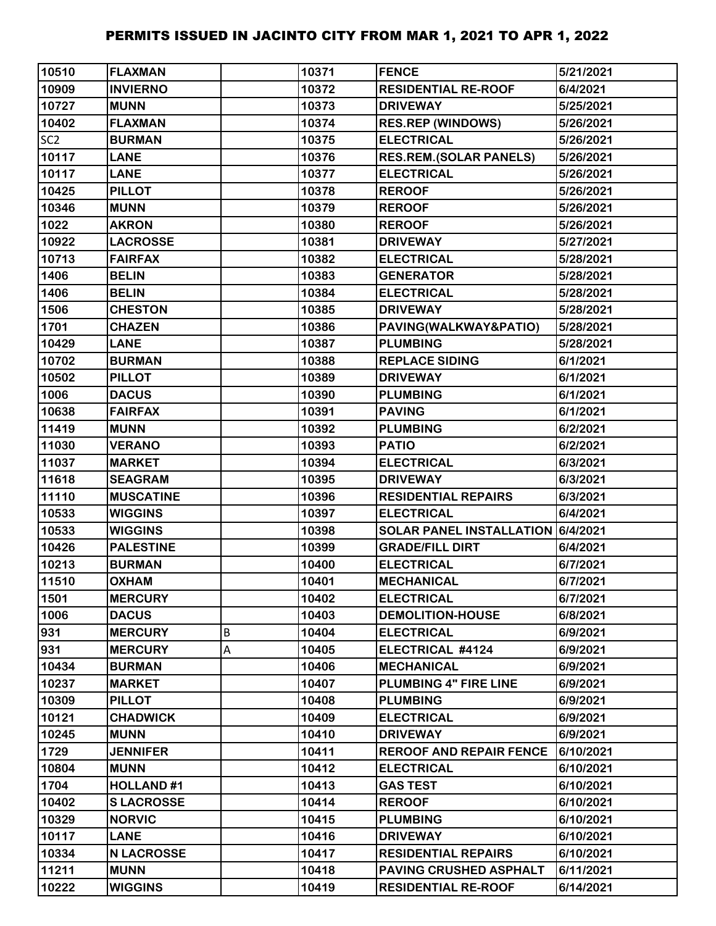| 10510           | <b>FLAXMAN</b>    |   | 10371 | <b>FENCE</b>                      | 5/21/2021 |
|-----------------|-------------------|---|-------|-----------------------------------|-----------|
| 10909           | <b>INVIERNO</b>   |   | 10372 | <b>RESIDENTIAL RE-ROOF</b>        | 6/4/2021  |
| 10727           | <b>MUNN</b>       |   | 10373 | <b>DRIVEWAY</b>                   | 5/25/2021 |
| 10402           | <b>FLAXMAN</b>    |   | 10374 | <b>RES.REP (WINDOWS)</b>          | 5/26/2021 |
| SC <sub>2</sub> | <b>BURMAN</b>     |   | 10375 | <b>ELECTRICAL</b>                 | 5/26/2021 |
| 10117           | <b>LANE</b>       |   | 10376 | <b>RES.REM.(SOLAR PANELS)</b>     | 5/26/2021 |
| 10117           | <b>LANE</b>       |   | 10377 | <b>ELECTRICAL</b>                 | 5/26/2021 |
| 10425           | <b>PILLOT</b>     |   | 10378 | <b>REROOF</b>                     | 5/26/2021 |
| 10346           | <b>MUNN</b>       |   | 10379 | <b>REROOF</b>                     | 5/26/2021 |
| 1022            | <b>AKRON</b>      |   | 10380 | <b>REROOF</b>                     | 5/26/2021 |
| 10922           | <b>LACROSSE</b>   |   | 10381 | <b>DRIVEWAY</b>                   | 5/27/2021 |
| 10713           | <b>FAIRFAX</b>    |   | 10382 | <b>ELECTRICAL</b>                 | 5/28/2021 |
| 1406            | <b>BELIN</b>      |   | 10383 | <b>GENERATOR</b>                  | 5/28/2021 |
| 1406            | <b>BELIN</b>      |   | 10384 | <b>ELECTRICAL</b>                 | 5/28/2021 |
| 1506            | <b>CHESTON</b>    |   | 10385 | <b>DRIVEWAY</b>                   | 5/28/2021 |
| 1701            | <b>CHAZEN</b>     |   | 10386 | PAVING(WALKWAY&PATIO)             | 5/28/2021 |
| 10429           | <b>LANE</b>       |   | 10387 | <b>PLUMBING</b>                   | 5/28/2021 |
| 10702           | <b>BURMAN</b>     |   | 10388 | <b>REPLACE SIDING</b>             | 6/1/2021  |
| 10502           | <b>PILLOT</b>     |   | 10389 | <b>DRIVEWAY</b>                   | 6/1/2021  |
| 1006            | <b>DACUS</b>      |   | 10390 | <b>PLUMBING</b>                   | 6/1/2021  |
| 10638           | <b>FAIRFAX</b>    |   | 10391 | <b>PAVING</b>                     | 6/1/2021  |
| 11419           | <b>MUNN</b>       |   | 10392 | <b>PLUMBING</b>                   | 6/2/2021  |
| 11030           | <b>VERANO</b>     |   | 10393 | <b>PATIO</b>                      | 6/2/2021  |
| 11037           | <b>MARKET</b>     |   | 10394 | <b>ELECTRICAL</b>                 | 6/3/2021  |
| 11618           | <b>SEAGRAM</b>    |   | 10395 | <b>DRIVEWAY</b>                   | 6/3/2021  |
| 11110           | <b>MUSCATINE</b>  |   | 10396 | <b>RESIDENTIAL REPAIRS</b>        | 6/3/2021  |
| 10533           | <b>WIGGINS</b>    |   | 10397 | <b>ELECTRICAL</b>                 | 6/4/2021  |
| 10533           | <b>WIGGINS</b>    |   | 10398 | SOLAR PANEL INSTALLATION 6/4/2021 |           |
| 10426           | <b>PALESTINE</b>  |   | 10399 | <b>GRADE/FILL DIRT</b>            | 6/4/2021  |
| 10213           | <b>BURMAN</b>     |   | 10400 | <b>ELECTRICAL</b>                 | 6/7/2021  |
| 11510           | <b>OXHAM</b>      |   | 10401 | <b>MECHANICAL</b>                 | 6/7/2021  |
| 1501            | <b>MERCURY</b>    |   | 10402 | <b>ELECTRICAL</b>                 | 6/7/2021  |
| 1006            | <b>DACUS</b>      |   | 10403 | <b>DEMOLITION-HOUSE</b>           | 6/8/2021  |
| 931             | <b>MERCURY</b>    | B | 10404 | <b>ELECTRICAL</b>                 | 6/9/2021  |
| 931             | <b>MERCURY</b>    | A | 10405 | ELECTRICAL #4124                  | 6/9/2021  |
| 10434           | <b>BURMAN</b>     |   | 10406 | <b>MECHANICAL</b>                 | 6/9/2021  |
| 10237           | <b>MARKET</b>     |   | 10407 | PLUMBING 4" FIRE LINE             | 6/9/2021  |
| 10309           | <b>PILLOT</b>     |   | 10408 | <b>PLUMBING</b>                   | 6/9/2021  |
| 10121           | <b>CHADWICK</b>   |   | 10409 | <b>ELECTRICAL</b>                 | 6/9/2021  |
| 10245           | <b>MUNN</b>       |   | 10410 | <b>DRIVEWAY</b>                   | 6/9/2021  |
| 1729            | <b>JENNIFER</b>   |   | 10411 | <b>REROOF AND REPAIR FENCE</b>    | 6/10/2021 |
| 10804           | <b>MUNN</b>       |   | 10412 | <b>ELECTRICAL</b>                 | 6/10/2021 |
| 1704            | <b>HOLLAND#1</b>  |   | 10413 | <b>GAS TEST</b>                   | 6/10/2021 |
| 10402           | <b>SLACROSSE</b>  |   | 10414 | <b>REROOF</b>                     | 6/10/2021 |
| 10329           | <b>NORVIC</b>     |   | 10415 | <b>PLUMBING</b>                   | 6/10/2021 |
| 10117           | <b>LANE</b>       |   | 10416 | <b>DRIVEWAY</b>                   | 6/10/2021 |
| 10334           | <b>N LACROSSE</b> |   | 10417 | <b>RESIDENTIAL REPAIRS</b>        | 6/10/2021 |
| 11211           | <b>MUNN</b>       |   | 10418 | <b>PAVING CRUSHED ASPHALT</b>     | 6/11/2021 |
| 10222           | <b>WIGGINS</b>    |   | 10419 | <b>RESIDENTIAL RE-ROOF</b>        | 6/14/2021 |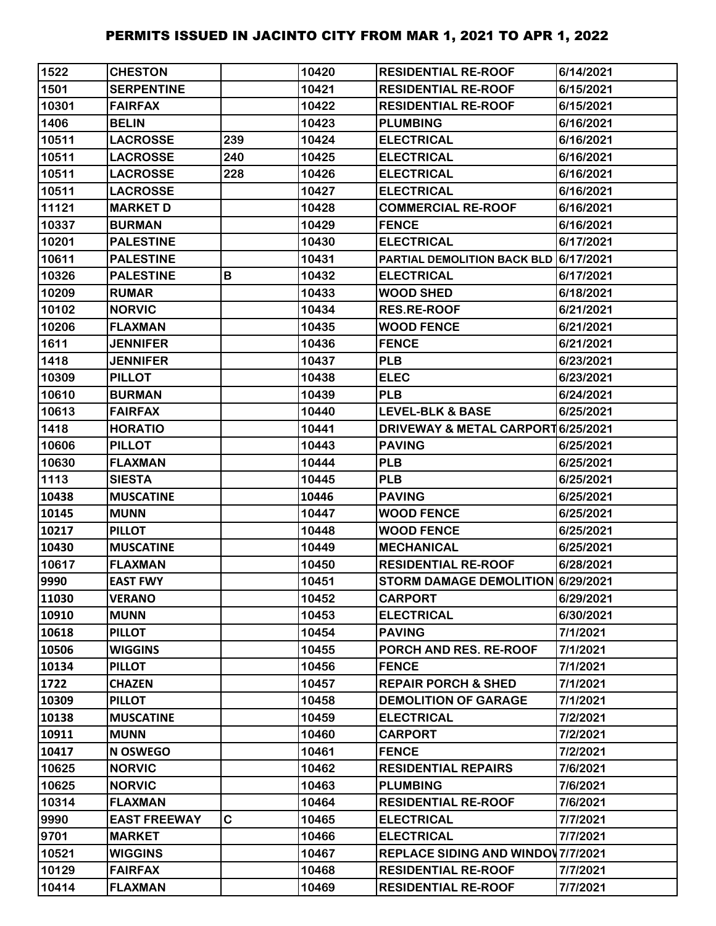| 1522  | <b>CHESTON</b>      |             | 10420 | <b>RESIDENTIAL RE-ROOF</b>                   | 6/14/2021 |
|-------|---------------------|-------------|-------|----------------------------------------------|-----------|
| 1501  | <b>SERPENTINE</b>   |             | 10421 | <b>RESIDENTIAL RE-ROOF</b>                   | 6/15/2021 |
| 10301 | <b>FAIRFAX</b>      |             | 10422 | <b>RESIDENTIAL RE-ROOF</b>                   | 6/15/2021 |
| 1406  | <b>BELIN</b>        |             | 10423 | <b>PLUMBING</b>                              | 6/16/2021 |
| 10511 | <b>LACROSSE</b>     | 239         | 10424 | <b>ELECTRICAL</b>                            | 6/16/2021 |
| 10511 | <b>LACROSSE</b>     | 240         | 10425 | <b>ELECTRICAL</b>                            | 6/16/2021 |
| 10511 | <b>LACROSSE</b>     | 228         | 10426 | <b>ELECTRICAL</b>                            | 6/16/2021 |
| 10511 | <b>LACROSSE</b>     |             | 10427 | <b>ELECTRICAL</b>                            | 6/16/2021 |
| 11121 | <b>MARKET D</b>     |             | 10428 | <b>COMMERCIAL RE-ROOF</b>                    | 6/16/2021 |
| 10337 | <b>BURMAN</b>       |             | 10429 | <b>FENCE</b>                                 | 6/16/2021 |
| 10201 | <b>PALESTINE</b>    |             | 10430 | <b>ELECTRICAL</b>                            | 6/17/2021 |
| 10611 | <b>PALESTINE</b>    |             | 10431 | PARTIAL DEMOLITION BACK BLD 6/17/2021        |           |
| 10326 | <b>PALESTINE</b>    | B           | 10432 | <b>ELECTRICAL</b>                            | 6/17/2021 |
| 10209 | <b>RUMAR</b>        |             | 10433 | <b>WOOD SHED</b>                             | 6/18/2021 |
| 10102 | <b>NORVIC</b>       |             | 10434 | <b>RES.RE-ROOF</b>                           | 6/21/2021 |
| 10206 | <b>FLAXMAN</b>      |             | 10435 | <b>WOOD FENCE</b>                            | 6/21/2021 |
| 1611  | <b>JENNIFER</b>     |             | 10436 | <b>FENCE</b>                                 | 6/21/2021 |
| 1418  | <b>JENNIFER</b>     |             | 10437 | <b>PLB</b>                                   | 6/23/2021 |
| 10309 | <b>PILLOT</b>       |             | 10438 | <b>ELEC</b>                                  | 6/23/2021 |
| 10610 | <b>BURMAN</b>       |             | 10439 | <b>PLB</b>                                   | 6/24/2021 |
| 10613 | <b>FAIRFAX</b>      |             | 10440 | <b>LEVEL-BLK &amp; BASE</b>                  | 6/25/2021 |
| 1418  | <b>HORATIO</b>      |             | 10441 | <b>DRIVEWAY &amp; METAL CARPORT6/25/2021</b> |           |
| 10606 | <b>PILLOT</b>       |             | 10443 | <b>PAVING</b>                                | 6/25/2021 |
| 10630 | <b>FLAXMAN</b>      |             | 10444 | <b>PLB</b>                                   | 6/25/2021 |
| 1113  | <b>SIESTA</b>       |             | 10445 | <b>PLB</b>                                   | 6/25/2021 |
| 10438 | <b>MUSCATINE</b>    |             | 10446 | <b>PAVING</b>                                | 6/25/2021 |
| 10145 | <b>MUNN</b>         |             | 10447 | <b>WOOD FENCE</b>                            | 6/25/2021 |
| 10217 | <b>PILLOT</b>       |             | 10448 | <b>WOOD FENCE</b>                            | 6/25/2021 |
| 10430 | <b>MUSCATINE</b>    |             | 10449 | <b>MECHANICAL</b>                            | 6/25/2021 |
| 10617 | <b>FLAXMAN</b>      |             | 10450 | <b>RESIDENTIAL RE-ROOF</b>                   | 6/28/2021 |
| 9990  | <b>EAST FWY</b>     |             | 10451 | STORM DAMAGE DEMOLITION 6/29/2021            |           |
| 11030 | <b>VERANO</b>       |             | 10452 | <b>CARPORT</b>                               | 6/29/2021 |
| 10910 | <b>MUNN</b>         |             | 10453 | <b>ELECTRICAL</b>                            | 6/30/2021 |
| 10618 | <b>PILLOT</b>       |             | 10454 | <b>PAVING</b>                                | 7/1/2021  |
| 10506 | <b>WIGGINS</b>      |             | 10455 | PORCH AND RES. RE-ROOF                       | 7/1/2021  |
| 10134 | <b>PILLOT</b>       |             | 10456 | <b>FENCE</b>                                 | 7/1/2021  |
| 1722  | <b>CHAZEN</b>       |             | 10457 | <b>REPAIR PORCH &amp; SHED</b>               | 7/1/2021  |
| 10309 | <b>PILLOT</b>       |             | 10458 | <b>DEMOLITION OF GARAGE</b>                  | 7/1/2021  |
| 10138 | <b>MUSCATINE</b>    |             | 10459 | <b>ELECTRICAL</b>                            | 7/2/2021  |
| 10911 | <b>MUNN</b>         |             | 10460 | <b>CARPORT</b>                               | 7/2/2021  |
| 10417 | N OSWEGO            |             | 10461 | <b>FENCE</b>                                 | 7/2/2021  |
| 10625 | <b>NORVIC</b>       |             | 10462 | <b>RESIDENTIAL REPAIRS</b>                   | 7/6/2021  |
| 10625 | <b>NORVIC</b>       |             | 10463 | <b>PLUMBING</b>                              | 7/6/2021  |
| 10314 | <b>FLAXMAN</b>      |             | 10464 | <b>RESIDENTIAL RE-ROOF</b>                   | 7/6/2021  |
| 9990  | <b>EAST FREEWAY</b> | $\mathbf C$ | 10465 | <b>ELECTRICAL</b>                            | 7/7/2021  |
| 9701  | <b>MARKET</b>       |             | 10466 | <b>ELECTRICAL</b>                            | 7/7/2021  |
| 10521 | <b>WIGGINS</b>      |             | 10467 | <b>REPLACE SIDING AND WINDOV 7/7/2021</b>    |           |
| 10129 | <b>FAIRFAX</b>      |             | 10468 | <b>RESIDENTIAL RE-ROOF</b>                   | 7/7/2021  |
| 10414 | <b>FLAXMAN</b>      |             | 10469 | <b>RESIDENTIAL RE-ROOF</b>                   | 7/7/2021  |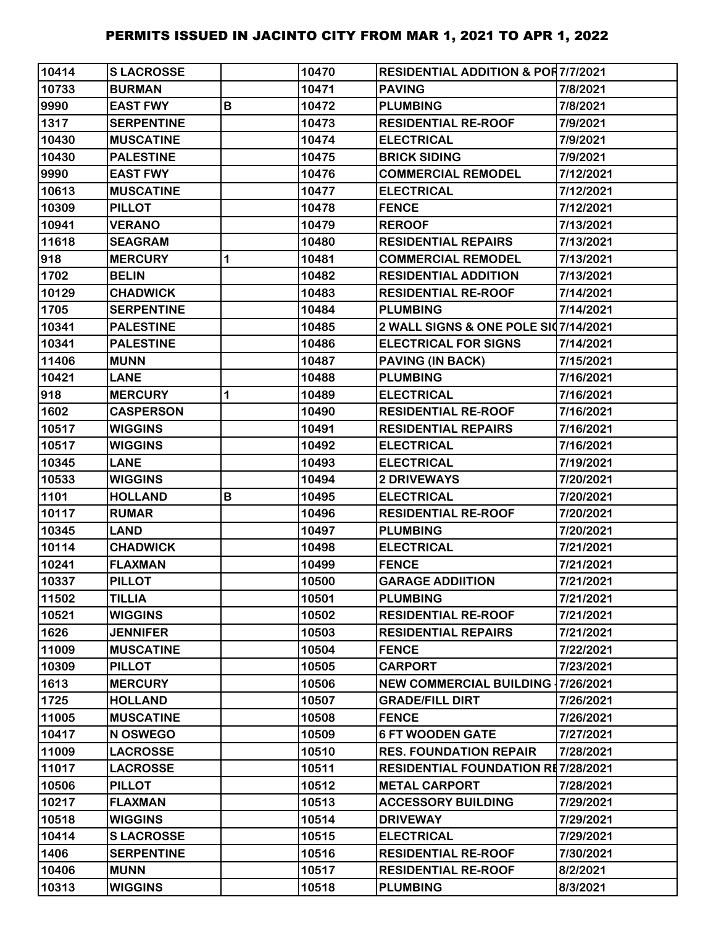| 10414 | <b>SLACROSSE</b>  |   | 10470 | <b>RESIDENTIAL ADDITION &amp; POR7/7/2021</b> |           |
|-------|-------------------|---|-------|-----------------------------------------------|-----------|
| 10733 | <b>BURMAN</b>     |   | 10471 | <b>PAVING</b>                                 | 7/8/2021  |
| 9990  | <b>EAST FWY</b>   | B | 10472 | <b>PLUMBING</b>                               | 7/8/2021  |
| 1317  | <b>SERPENTINE</b> |   | 10473 | <b>RESIDENTIAL RE-ROOF</b>                    | 7/9/2021  |
| 10430 | <b>MUSCATINE</b>  |   | 10474 | <b>ELECTRICAL</b>                             | 7/9/2021  |
| 10430 | <b>PALESTINE</b>  |   | 10475 | <b>BRICK SIDING</b>                           | 7/9/2021  |
| 9990  | <b>EAST FWY</b>   |   | 10476 | <b>COMMERCIAL REMODEL</b>                     | 7/12/2021 |
| 10613 | <b>MUSCATINE</b>  |   | 10477 | <b>ELECTRICAL</b>                             | 7/12/2021 |
| 10309 | <b>PILLOT</b>     |   | 10478 | <b>FENCE</b>                                  | 7/12/2021 |
| 10941 | <b>VERANO</b>     |   | 10479 | <b>REROOF</b>                                 | 7/13/2021 |
| 11618 | <b>SEAGRAM</b>    |   | 10480 | <b>RESIDENTIAL REPAIRS</b>                    | 7/13/2021 |
| 918   | <b>MERCURY</b>    | 1 | 10481 | <b>COMMERCIAL REMODEL</b>                     | 7/13/2021 |
| 1702  | <b>BELIN</b>      |   | 10482 | <b>RESIDENTIAL ADDITION</b>                   | 7/13/2021 |
| 10129 | <b>CHADWICK</b>   |   | 10483 | <b>RESIDENTIAL RE-ROOF</b>                    | 7/14/2021 |
| 1705  | <b>SERPENTINE</b> |   | 10484 | <b>PLUMBING</b>                               | 7/14/2021 |
| 10341 | <b>PALESTINE</b>  |   | 10485 | 2 WALL SIGNS & ONE POLE SI07/14/2021          |           |
| 10341 | <b>PALESTINE</b>  |   | 10486 | <b>ELECTRICAL FOR SIGNS</b>                   | 7/14/2021 |
| 11406 | <b>MUNN</b>       |   | 10487 | <b>PAVING (IN BACK)</b>                       | 7/15/2021 |
| 10421 | <b>LANE</b>       |   | 10488 | <b>PLUMBING</b>                               | 7/16/2021 |
| 918   | <b>MERCURY</b>    | 1 | 10489 | <b>ELECTRICAL</b>                             | 7/16/2021 |
| 1602  | <b>CASPERSON</b>  |   | 10490 | <b>RESIDENTIAL RE-ROOF</b>                    | 7/16/2021 |
| 10517 | <b>WIGGINS</b>    |   | 10491 | <b>RESIDENTIAL REPAIRS</b>                    | 7/16/2021 |
| 10517 | <b>WIGGINS</b>    |   | 10492 | <b>ELECTRICAL</b>                             | 7/16/2021 |
| 10345 | <b>LANE</b>       |   | 10493 | <b>ELECTRICAL</b>                             | 7/19/2021 |
| 10533 | <b>WIGGINS</b>    |   | 10494 | <b>2 DRIVEWAYS</b>                            | 7/20/2021 |
| 1101  | <b>HOLLAND</b>    | B | 10495 | <b>ELECTRICAL</b>                             | 7/20/2021 |
| 10117 | <b>RUMAR</b>      |   | 10496 | <b>RESIDENTIAL RE-ROOF</b>                    | 7/20/2021 |
| 10345 | <b>LAND</b>       |   | 10497 | <b>PLUMBING</b>                               | 7/20/2021 |
| 10114 | <b>CHADWICK</b>   |   | 10498 | <b>ELECTRICAL</b>                             | 7/21/2021 |
| 10241 | <b>FLAXMAN</b>    |   | 10499 | <b>FENCE</b>                                  | 7/21/2021 |
| 10337 | <b>PILLOT</b>     |   | 10500 | <b>GARAGE ADDIITION</b>                       | 7/21/2021 |
| 11502 | <b>TILLIA</b>     |   | 10501 | <b>PLUMBING</b>                               | 7/21/2021 |
| 10521 | <b>WIGGINS</b>    |   | 10502 | <b>RESIDENTIAL RE-ROOF</b>                    | 7/21/2021 |
| 1626  | <b>JENNIFER</b>   |   | 10503 | <b>RESIDENTIAL REPAIRS</b>                    | 7/21/2021 |
| 11009 | <b>MUSCATINE</b>  |   | 10504 | <b>FENCE</b>                                  | 7/22/2021 |
| 10309 | <b>PILLOT</b>     |   | 10505 | <b>CARPORT</b>                                | 7/23/2021 |
| 1613  | <b>MERCURY</b>    |   | 10506 | <b>NEW COMMERCIAL BUILDING 17/26/2021</b>     |           |
| 1725  | <b>HOLLAND</b>    |   | 10507 | <b>GRADE/FILL DIRT</b>                        | 7/26/2021 |
| 11005 | <b>MUSCATINE</b>  |   | 10508 | <b>FENCE</b>                                  | 7/26/2021 |
| 10417 | N OSWEGO          |   | 10509 | <b>6 FT WOODEN GATE</b>                       | 7/27/2021 |
| 11009 | <b>LACROSSE</b>   |   | 10510 | <b>RES. FOUNDATION REPAIR</b>                 | 7/28/2021 |
| 11017 | <b>LACROSSE</b>   |   | 10511 | RESIDENTIAL FOUNDATION RE7/28/2021            |           |
| 10506 | <b>PILLOT</b>     |   | 10512 | <b>METAL CARPORT</b>                          | 7/28/2021 |
| 10217 | <b>FLAXMAN</b>    |   | 10513 | <b>ACCESSORY BUILDING</b>                     | 7/29/2021 |
| 10518 | <b>WIGGINS</b>    |   | 10514 | <b>DRIVEWAY</b>                               | 7/29/2021 |
| 10414 | <b>SLACROSSE</b>  |   | 10515 | <b>ELECTRICAL</b>                             | 7/29/2021 |
| 1406  | <b>SERPENTINE</b> |   | 10516 | <b>RESIDENTIAL RE-ROOF</b>                    | 7/30/2021 |
| 10406 | <b>MUNN</b>       |   | 10517 | <b>RESIDENTIAL RE-ROOF</b>                    | 8/2/2021  |
| 10313 | <b>WIGGINS</b>    |   | 10518 | <b>PLUMBING</b>                               | 8/3/2021  |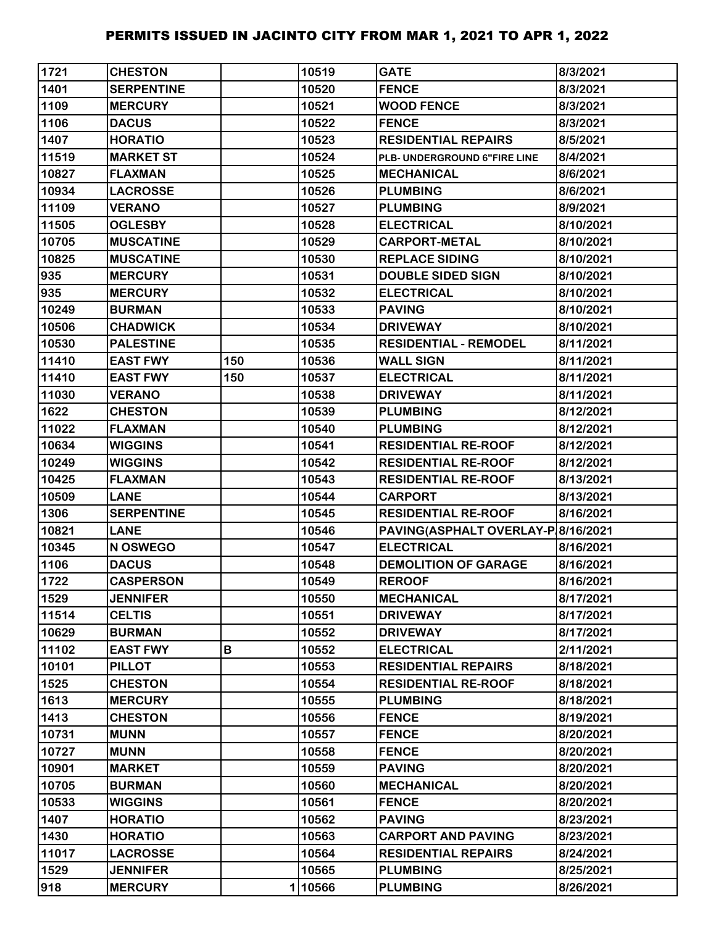| 1721  | <b>CHESTON</b>    |     | 10519  | <b>GATE</b>                        | 8/3/2021  |
|-------|-------------------|-----|--------|------------------------------------|-----------|
| 1401  | <b>SERPENTINE</b> |     | 10520  | <b>FENCE</b>                       | 8/3/2021  |
| 1109  | <b>MERCURY</b>    |     | 10521  | <b>WOOD FENCE</b>                  | 8/3/2021  |
| 1106  | <b>DACUS</b>      |     | 10522  | <b>FENCE</b>                       | 8/3/2021  |
| 1407  | <b>HORATIO</b>    |     | 10523  | <b>RESIDENTIAL REPAIRS</b>         | 8/5/2021  |
| 11519 | <b>MARKET ST</b>  |     | 10524  | PLB- UNDERGROUND 6"FIRE LINE       | 8/4/2021  |
| 10827 | <b>FLAXMAN</b>    |     | 10525  | <b>MECHANICAL</b>                  | 8/6/2021  |
| 10934 | <b>LACROSSE</b>   |     | 10526  | <b>PLUMBING</b>                    | 8/6/2021  |
| 11109 | <b>VERANO</b>     |     | 10527  | <b>PLUMBING</b>                    | 8/9/2021  |
| 11505 | <b>OGLESBY</b>    |     | 10528  | <b>ELECTRICAL</b>                  | 8/10/2021 |
| 10705 | <b>MUSCATINE</b>  |     | 10529  | <b>CARPORT-METAL</b>               | 8/10/2021 |
| 10825 | <b>MUSCATINE</b>  |     | 10530  | <b>REPLACE SIDING</b>              | 8/10/2021 |
| 935   | <b>MERCURY</b>    |     | 10531  | <b>DOUBLE SIDED SIGN</b>           | 8/10/2021 |
| 935   | <b>MERCURY</b>    |     | 10532  | <b>ELECTRICAL</b>                  | 8/10/2021 |
| 10249 | <b>BURMAN</b>     |     | 10533  | <b>PAVING</b>                      | 8/10/2021 |
| 10506 | <b>CHADWICK</b>   |     | 10534  | <b>DRIVEWAY</b>                    | 8/10/2021 |
| 10530 | <b>PALESTINE</b>  |     | 10535  | <b>RESIDENTIAL - REMODEL</b>       | 8/11/2021 |
| 11410 | <b>EAST FWY</b>   | 150 | 10536  | <b>WALL SIGN</b>                   | 8/11/2021 |
| 11410 | <b>EAST FWY</b>   | 150 | 10537  | <b>ELECTRICAL</b>                  | 8/11/2021 |
| 11030 | <b>VERANO</b>     |     | 10538  | <b>DRIVEWAY</b>                    | 8/11/2021 |
| 1622  | <b>CHESTON</b>    |     | 10539  | <b>PLUMBING</b>                    | 8/12/2021 |
| 11022 | <b>FLAXMAN</b>    |     | 10540  | <b>PLUMBING</b>                    | 8/12/2021 |
| 10634 | <b>WIGGINS</b>    |     | 10541  | <b>RESIDENTIAL RE-ROOF</b>         | 8/12/2021 |
| 10249 | <b>WIGGINS</b>    |     | 10542  | <b>RESIDENTIAL RE-ROOF</b>         | 8/12/2021 |
| 10425 | <b>FLAXMAN</b>    |     | 10543  | <b>RESIDENTIAL RE-ROOF</b>         | 8/13/2021 |
| 10509 | <b>LANE</b>       |     | 10544  | <b>CARPORT</b>                     | 8/13/2021 |
| 1306  | <b>SERPENTINE</b> |     | 10545  | <b>RESIDENTIAL RE-ROOF</b>         | 8/16/2021 |
| 10821 | <b>LANE</b>       |     | 10546  | PAVING(ASPHALT OVERLAY-P 8/16/2021 |           |
| 10345 | N OSWEGO          |     | 10547  | <b>ELECTRICAL</b>                  | 8/16/2021 |
| 1106  | <b>DACUS</b>      |     | 10548  | <b>DEMOLITION OF GARAGE</b>        | 8/16/2021 |
| 1722  | <b>CASPERSON</b>  |     | 10549  | <b>REROOF</b>                      | 8/16/2021 |
| 1529  | <b>JENNIFER</b>   |     | 10550  | <b>MECHANICAL</b>                  | 8/17/2021 |
| 11514 | <b>CELTIS</b>     |     | 10551  | <b>DRIVEWAY</b>                    | 8/17/2021 |
| 10629 | <b>BURMAN</b>     |     | 10552  | <b>DRIVEWAY</b>                    | 8/17/2021 |
| 11102 | <b>EAST FWY</b>   | В   | 10552  | <b>ELECTRICAL</b>                  | 2/11/2021 |
| 10101 | <b>PILLOT</b>     |     | 10553  | <b>RESIDENTIAL REPAIRS</b>         | 8/18/2021 |
| 1525  | <b>CHESTON</b>    |     | 10554  | <b>RESIDENTIAL RE-ROOF</b>         | 8/18/2021 |
| 1613  | <b>MERCURY</b>    |     | 10555  | <b>PLUMBING</b>                    | 8/18/2021 |
| 1413  | <b>CHESTON</b>    |     | 10556  | <b>FENCE</b>                       | 8/19/2021 |
| 10731 | <b>MUNN</b>       |     | 10557  | <b>FENCE</b>                       | 8/20/2021 |
| 10727 | <b>MUNN</b>       |     | 10558  | <b>FENCE</b>                       | 8/20/2021 |
| 10901 | <b>MARKET</b>     |     | 10559  | <b>PAVING</b>                      | 8/20/2021 |
| 10705 | <b>BURMAN</b>     |     | 10560  | <b>MECHANICAL</b>                  | 8/20/2021 |
| 10533 | <b>WIGGINS</b>    |     | 10561  | <b>FENCE</b>                       | 8/20/2021 |
| 1407  | <b>HORATIO</b>    |     | 10562  | <b>PAVING</b>                      | 8/23/2021 |
| 1430  | <b>HORATIO</b>    |     | 10563  | <b>CARPORT AND PAVING</b>          | 8/23/2021 |
| 11017 | <b>LACROSSE</b>   |     | 10564  | <b>RESIDENTIAL REPAIRS</b>         | 8/24/2021 |
| 1529  | <b>JENNIFER</b>   |     | 10565  | <b>PLUMBING</b>                    | 8/25/2021 |
| 918   | <b>MERCURY</b>    |     | 110566 | <b>PLUMBING</b>                    | 8/26/2021 |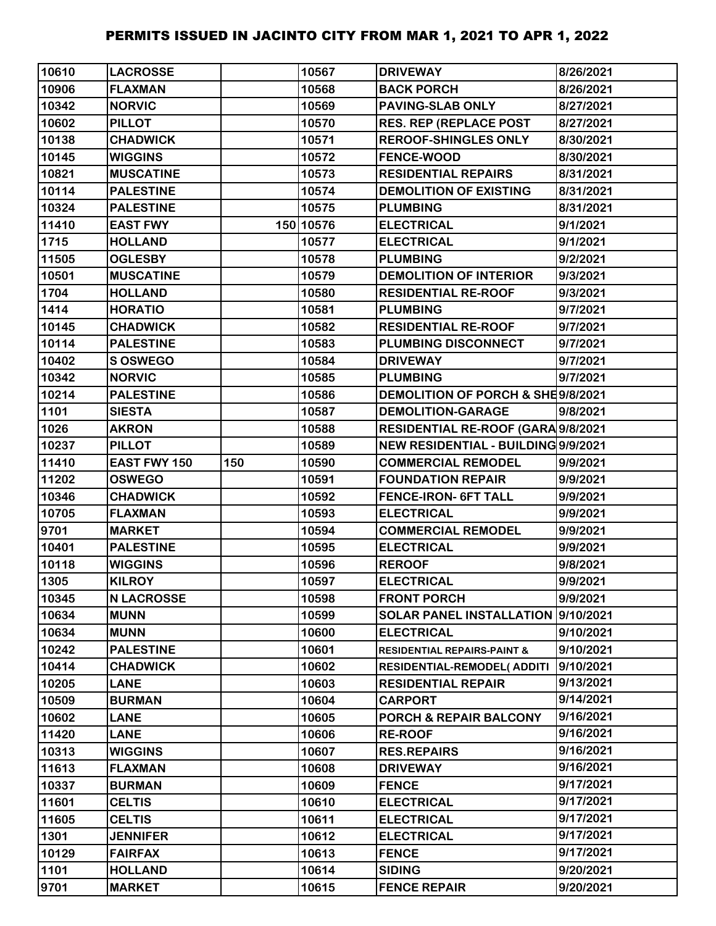| 10610 | <b>LACROSSE</b>     |     | 10567     | <b>DRIVEWAY</b>                        | 8/26/2021 |
|-------|---------------------|-----|-----------|----------------------------------------|-----------|
| 10906 | <b>FLAXMAN</b>      |     | 10568     | <b>BACK PORCH</b>                      | 8/26/2021 |
| 10342 | <b>NORVIC</b>       |     | 10569     | <b>PAVING-SLAB ONLY</b>                | 8/27/2021 |
| 10602 | <b>PILLOT</b>       |     | 10570     | <b>RES. REP (REPLACE POST</b>          | 8/27/2021 |
| 10138 | <b>CHADWICK</b>     |     | 10571     | <b>REROOF-SHINGLES ONLY</b>            | 8/30/2021 |
| 10145 | <b>WIGGINS</b>      |     | 10572     | <b>FENCE-WOOD</b>                      | 8/30/2021 |
| 10821 | <b>MUSCATINE</b>    |     | 10573     | <b>RESIDENTIAL REPAIRS</b>             | 8/31/2021 |
| 10114 | <b>PALESTINE</b>    |     | 10574     | <b>DEMOLITION OF EXISTING</b>          | 8/31/2021 |
| 10324 | <b>PALESTINE</b>    |     | 10575     | <b>PLUMBING</b>                        | 8/31/2021 |
| 11410 | <b>EAST FWY</b>     |     | 150 10576 | <b>ELECTRICAL</b>                      | 9/1/2021  |
| 1715  | <b>HOLLAND</b>      |     | 10577     | <b>ELECTRICAL</b>                      | 9/1/2021  |
| 11505 | <b>OGLESBY</b>      |     | 10578     | <b>PLUMBING</b>                        | 9/2/2021  |
| 10501 | <b>MUSCATINE</b>    |     | 10579     | <b>DEMOLITION OF INTERIOR</b>          | 9/3/2021  |
| 1704  | <b>HOLLAND</b>      |     | 10580     | <b>RESIDENTIAL RE-ROOF</b>             | 9/3/2021  |
| 1414  | <b>HORATIO</b>      |     | 10581     | <b>PLUMBING</b>                        | 9/7/2021  |
| 10145 | <b>CHADWICK</b>     |     | 10582     | <b>RESIDENTIAL RE-ROOF</b>             | 9/7/2021  |
| 10114 | <b>PALESTINE</b>    |     | 10583     | PLUMBING DISCONNECT                    | 9/7/2021  |
| 10402 | S OSWEGO            |     | 10584     | <b>DRIVEWAY</b>                        | 9/7/2021  |
| 10342 | <b>NORVIC</b>       |     | 10585     | <b>PLUMBING</b>                        | 9/7/2021  |
| 10214 | <b>PALESTINE</b>    |     | 10586     | DEMOLITION OF PORCH & SHE9/8/2021      |           |
| 1101  | <b>SIESTA</b>       |     | 10587     | <b>DEMOLITION-GARAGE</b>               | 9/8/2021  |
| 1026  | <b>AKRON</b>        |     | 10588     | RESIDENTIAL RE-ROOF (GARA 9/8/2021     |           |
| 10237 | <b>PILLOT</b>       |     | 10589     | NEW RESIDENTIAL - BUILDING 9/9/2021    |           |
| 11410 | <b>EAST FWY 150</b> | 150 | 10590     | <b>COMMERCIAL REMODEL</b>              | 9/9/2021  |
| 11202 | <b>OSWEGO</b>       |     | 10591     | <b>FOUNDATION REPAIR</b>               | 9/9/2021  |
| 10346 | <b>CHADWICK</b>     |     | 10592     | <b>FENCE-IRON- 6FT TALL</b>            | 9/9/2021  |
| 10705 | <b>FLAXMAN</b>      |     | 10593     | <b>ELECTRICAL</b>                      | 9/9/2021  |
| 9701  | <b>MARKET</b>       |     | 10594     | <b>COMMERCIAL REMODEL</b>              | 9/9/2021  |
| 10401 | <b>PALESTINE</b>    |     | 10595     | <b>ELECTRICAL</b>                      | 9/9/2021  |
| 10118 | <b>WIGGINS</b>      |     | 10596     | <b>REROOF</b>                          | 9/8/2021  |
| 1305  | <b>KILROY</b>       |     | 10597     | <b>ELECTRICAL</b>                      | 9/9/2021  |
| 10345 | <b>N LACROSSE</b>   |     | 10598     | <b>FRONT PORCH</b>                     | 9/9/2021  |
| 10634 | <b>MUNN</b>         |     | 10599     | SOLAR PANEL INSTALLATION 9/10/2021     |           |
| 10634 | <b>MUNN</b>         |     | 10600     | <b>ELECTRICAL</b>                      | 9/10/2021 |
| 10242 | <b>PALESTINE</b>    |     | 10601     | <b>RESIDENTIAL REPAIRS-PAINT &amp;</b> | 9/10/2021 |
| 10414 | <b>CHADWICK</b>     |     | 10602     | <b>RESIDENTIAL-REMODEL( ADDITI</b>     | 9/10/2021 |
| 10205 | <b>LANE</b>         |     | 10603     | <b>RESIDENTIAL REPAIR</b>              | 9/13/2021 |
| 10509 | <b>BURMAN</b>       |     | 10604     | <b>CARPORT</b>                         | 9/14/2021 |
| 10602 | <b>LANE</b>         |     | 10605     | PORCH & REPAIR BALCONY                 | 9/16/2021 |
| 11420 | <b>LANE</b>         |     | 10606     | <b>RE-ROOF</b>                         | 9/16/2021 |
| 10313 | <b>WIGGINS</b>      |     | 10607     | <b>RES.REPAIRS</b>                     | 9/16/2021 |
| 11613 | <b>FLAXMAN</b>      |     | 10608     | <b>DRIVEWAY</b>                        | 9/16/2021 |
| 10337 | <b>BURMAN</b>       |     | 10609     | <b>FENCE</b>                           | 9/17/2021 |
| 11601 | <b>CELTIS</b>       |     | 10610     | <b>ELECTRICAL</b>                      | 9/17/2021 |
| 11605 | <b>CELTIS</b>       |     | 10611     | <b>ELECTRICAL</b>                      | 9/17/2021 |
| 1301  | <b>JENNIFER</b>     |     | 10612     | <b>ELECTRICAL</b>                      | 9/17/2021 |
| 10129 | <b>FAIRFAX</b>      |     | 10613     | <b>FENCE</b>                           | 9/17/2021 |
| 1101  | <b>HOLLAND</b>      |     | 10614     | <b>SIDING</b>                          | 9/20/2021 |
| 9701  | <b>MARKET</b>       |     | 10615     | <b>FENCE REPAIR</b>                    | 9/20/2021 |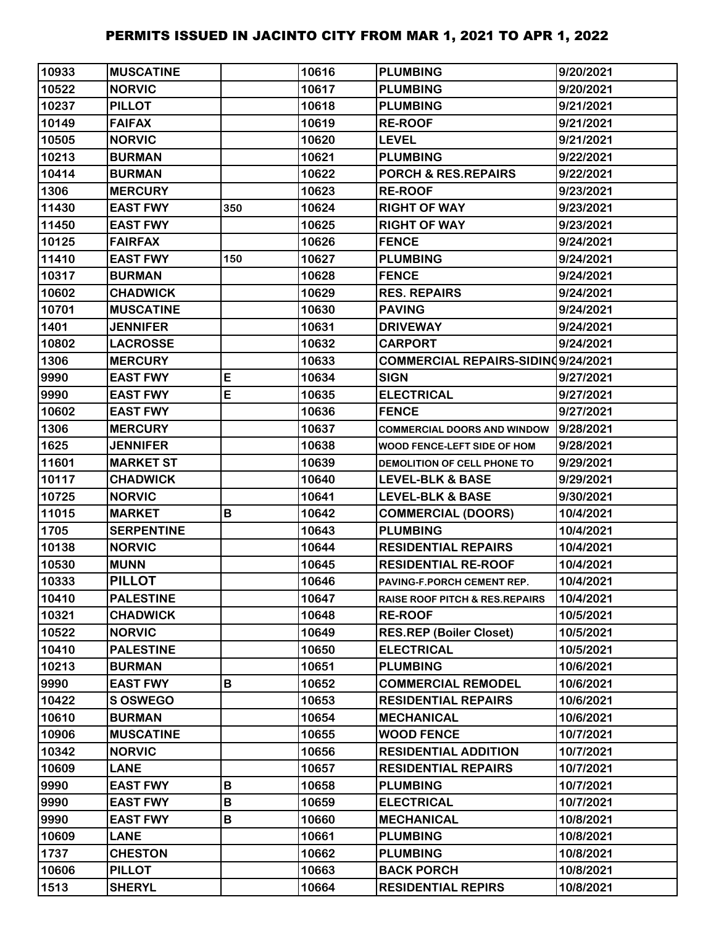| 10933 | <b>MUSCATINE</b>  |     | 10616 | <b>PLUMBING</b>                           | 9/20/2021 |
|-------|-------------------|-----|-------|-------------------------------------------|-----------|
| 10522 | <b>NORVIC</b>     |     | 10617 | <b>PLUMBING</b>                           | 9/20/2021 |
| 10237 | <b>PILLOT</b>     |     | 10618 | <b>PLUMBING</b>                           | 9/21/2021 |
| 10149 | <b>FAIFAX</b>     |     | 10619 | <b>RE-ROOF</b>                            | 9/21/2021 |
| 10505 | <b>NORVIC</b>     |     | 10620 | <b>LEVEL</b>                              | 9/21/2021 |
| 10213 | <b>BURMAN</b>     |     | 10621 | <b>PLUMBING</b>                           | 9/22/2021 |
| 10414 | <b>BURMAN</b>     |     | 10622 | <b>PORCH &amp; RES.REPAIRS</b>            | 9/22/2021 |
| 1306  | <b>MERCURY</b>    |     | 10623 | <b>RE-ROOF</b>                            | 9/23/2021 |
| 11430 | <b>EAST FWY</b>   | 350 | 10624 | <b>RIGHT OF WAY</b>                       | 9/23/2021 |
| 11450 | <b>EAST FWY</b>   |     | 10625 | <b>RIGHT OF WAY</b>                       | 9/23/2021 |
| 10125 | <b>FAIRFAX</b>    |     | 10626 | <b>FENCE</b>                              | 9/24/2021 |
| 11410 | <b>EAST FWY</b>   | 150 | 10627 | <b>PLUMBING</b>                           | 9/24/2021 |
| 10317 | <b>BURMAN</b>     |     | 10628 | <b>FENCE</b>                              | 9/24/2021 |
| 10602 | <b>CHADWICK</b>   |     | 10629 | <b>RES. REPAIRS</b>                       | 9/24/2021 |
| 10701 | <b>MUSCATINE</b>  |     | 10630 | <b>PAVING</b>                             | 9/24/2021 |
| 1401  | <b>JENNIFER</b>   |     | 10631 | <b>DRIVEWAY</b>                           | 9/24/2021 |
| 10802 | <b>LACROSSE</b>   |     | 10632 | <b>CARPORT</b>                            | 9/24/2021 |
| 1306  | <b>MERCURY</b>    |     | 10633 | COMMERCIAL REPAIRS-SIDINQ9/24/2021        |           |
| 9990  | <b>EAST FWY</b>   | E   | 10634 | <b>SIGN</b>                               | 9/27/2021 |
| 9990  | <b>EAST FWY</b>   | E   | 10635 | <b>ELECTRICAL</b>                         | 9/27/2021 |
| 10602 | <b>EAST FWY</b>   |     | 10636 | <b>FENCE</b>                              | 9/27/2021 |
| 1306  | <b>MERCURY</b>    |     | 10637 | <b>COMMERCIAL DOORS AND WINDOW</b>        | 9/28/2021 |
| 1625  | <b>JENNIFER</b>   |     | 10638 | WOOD FENCE-LEFT SIDE OF HOM               | 9/28/2021 |
| 11601 | <b>MARKET ST</b>  |     | 10639 | DEMOLITION OF CELL PHONE TO               | 9/29/2021 |
| 10117 | <b>CHADWICK</b>   |     | 10640 | <b>LEVEL-BLK &amp; BASE</b>               | 9/29/2021 |
| 10725 | <b>NORVIC</b>     |     | 10641 | <b>LEVEL-BLK &amp; BASE</b>               | 9/30/2021 |
| 11015 | <b>MARKET</b>     | B   | 10642 | <b>COMMERCIAL (DOORS)</b>                 | 10/4/2021 |
| 1705  | <b>SERPENTINE</b> |     | 10643 | <b>PLUMBING</b>                           | 10/4/2021 |
| 10138 | <b>NORVIC</b>     |     | 10644 | <b>RESIDENTIAL REPAIRS</b>                | 10/4/2021 |
| 10530 | <b>MUNN</b>       |     | 10645 | <b>RESIDENTIAL RE-ROOF</b>                | 10/4/2021 |
| 10333 | <b>PILLOT</b>     |     | 10646 | PAVING-F.PORCH CEMENT REP.                | 10/4/2021 |
| 10410 | <b>PALESTINE</b>  |     | 10647 | <b>RAISE ROOF PITCH &amp; RES.REPAIRS</b> | 10/4/2021 |
| 10321 | <b>CHADWICK</b>   |     | 10648 | <b>RE-ROOF</b>                            | 10/5/2021 |
| 10522 | <b>NORVIC</b>     |     | 10649 | <b>RES.REP (Boiler Closet)</b>            | 10/5/2021 |
| 10410 | <b>PALESTINE</b>  |     | 10650 | <b>ELECTRICAL</b>                         | 10/5/2021 |
| 10213 | <b>BURMAN</b>     |     | 10651 | <b>PLUMBING</b>                           | 10/6/2021 |
| 9990  | <b>EAST FWY</b>   | B   | 10652 | <b>COMMERCIAL REMODEL</b>                 | 10/6/2021 |
| 10422 | <b>SOSWEGO</b>    |     | 10653 | <b>RESIDENTIAL REPAIRS</b>                | 10/6/2021 |
| 10610 | <b>BURMAN</b>     |     | 10654 | <b>MECHANICAL</b>                         | 10/6/2021 |
| 10906 | <b>MUSCATINE</b>  |     | 10655 | <b>WOOD FENCE</b>                         | 10/7/2021 |
| 10342 | <b>NORVIC</b>     |     | 10656 | <b>RESIDENTIAL ADDITION</b>               | 10/7/2021 |
| 10609 | <b>LANE</b>       |     | 10657 | <b>RESIDENTIAL REPAIRS</b>                | 10/7/2021 |
| 9990  | <b>EAST FWY</b>   | B   | 10658 | <b>PLUMBING</b>                           | 10/7/2021 |
| 9990  | <b>EAST FWY</b>   | B   | 10659 | <b>ELECTRICAL</b>                         | 10/7/2021 |
| 9990  | <b>EAST FWY</b>   | B   | 10660 | <b>MECHANICAL</b>                         | 10/8/2021 |
| 10609 | <b>LANE</b>       |     | 10661 | <b>PLUMBING</b>                           | 10/8/2021 |
| 1737  | <b>CHESTON</b>    |     | 10662 | <b>PLUMBING</b>                           | 10/8/2021 |
| 10606 | <b>PILLOT</b>     |     | 10663 | <b>BACK PORCH</b>                         | 10/8/2021 |
| 1513  | <b>SHERYL</b>     |     | 10664 | <b>RESIDENTIAL REPIRS</b>                 | 10/8/2021 |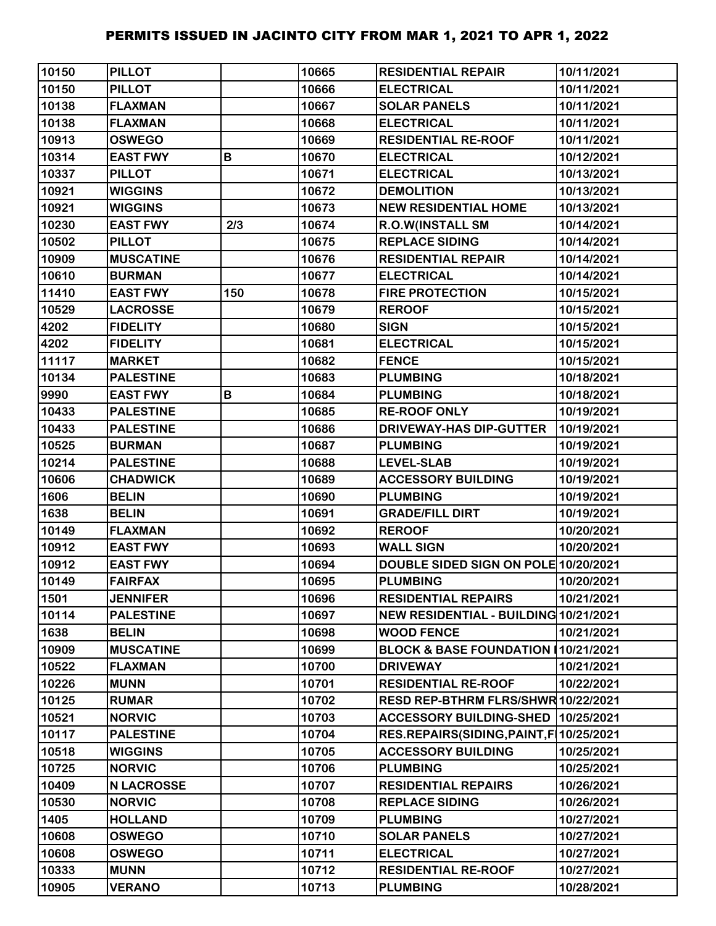| 10150 | <b>PILLOT</b>     |     | 10665 | <b>RESIDENTIAL REPAIR</b>                 | 10/11/2021 |
|-------|-------------------|-----|-------|-------------------------------------------|------------|
| 10150 | <b>PILLOT</b>     |     | 10666 | <b>ELECTRICAL</b>                         | 10/11/2021 |
| 10138 | <b>FLAXMAN</b>    |     | 10667 | <b>SOLAR PANELS</b>                       | 10/11/2021 |
| 10138 | <b>FLAXMAN</b>    |     | 10668 | <b>ELECTRICAL</b>                         | 10/11/2021 |
| 10913 | <b>OSWEGO</b>     |     | 10669 | <b>RESIDENTIAL RE-ROOF</b>                | 10/11/2021 |
| 10314 | <b>EAST FWY</b>   | В   | 10670 | <b>ELECTRICAL</b>                         | 10/12/2021 |
| 10337 | <b>PILLOT</b>     |     | 10671 | <b>ELECTRICAL</b>                         | 10/13/2021 |
| 10921 | <b>WIGGINS</b>    |     | 10672 | <b>DEMOLITION</b>                         | 10/13/2021 |
| 10921 | <b>WIGGINS</b>    |     | 10673 | <b>NEW RESIDENTIAL HOME</b>               | 10/13/2021 |
| 10230 | <b>EAST FWY</b>   | 2/3 | 10674 | <b>R.O.W(INSTALL SM</b>                   | 10/14/2021 |
| 10502 | <b>PILLOT</b>     |     | 10675 | <b>REPLACE SIDING</b>                     | 10/14/2021 |
| 10909 | <b>MUSCATINE</b>  |     | 10676 | <b>RESIDENTIAL REPAIR</b>                 | 10/14/2021 |
| 10610 | <b>BURMAN</b>     |     | 10677 | <b>ELECTRICAL</b>                         | 10/14/2021 |
| 11410 | <b>EAST FWY</b>   | 150 | 10678 | <b>FIRE PROTECTION</b>                    | 10/15/2021 |
| 10529 | <b>LACROSSE</b>   |     | 10679 | <b>REROOF</b>                             | 10/15/2021 |
| 4202  | <b>FIDELITY</b>   |     | 10680 | <b>SIGN</b>                               | 10/15/2021 |
| 4202  | <b>FIDELITY</b>   |     | 10681 | <b>ELECTRICAL</b>                         | 10/15/2021 |
| 11117 | <b>MARKET</b>     |     | 10682 | <b>FENCE</b>                              | 10/15/2021 |
| 10134 | <b>PALESTINE</b>  |     | 10683 | <b>PLUMBING</b>                           | 10/18/2021 |
| 9990  | <b>EAST FWY</b>   | B   | 10684 | <b>PLUMBING</b>                           | 10/18/2021 |
| 10433 | <b>PALESTINE</b>  |     | 10685 | <b>RE-ROOF ONLY</b>                       | 10/19/2021 |
| 10433 | <b>PALESTINE</b>  |     | 10686 | <b>DRIVEWAY-HAS DIP-GUTTER</b>            | 10/19/2021 |
| 10525 | <b>BURMAN</b>     |     | 10687 | <b>PLUMBING</b>                           | 10/19/2021 |
| 10214 | <b>PALESTINE</b>  |     | 10688 | <b>LEVEL-SLAB</b>                         | 10/19/2021 |
| 10606 | <b>CHADWICK</b>   |     | 10689 | <b>ACCESSORY BUILDING</b>                 | 10/19/2021 |
| 1606  | <b>BELIN</b>      |     | 10690 | <b>PLUMBING</b>                           | 10/19/2021 |
| 1638  | <b>BELIN</b>      |     | 10691 | <b>GRADE/FILL DIRT</b>                    | 10/19/2021 |
| 10149 | <b>FLAXMAN</b>    |     | 10692 | <b>REROOF</b>                             | 10/20/2021 |
| 10912 | <b>EAST FWY</b>   |     | 10693 | <b>WALL SIGN</b>                          | 10/20/2021 |
| 10912 | <b>EAST FWY</b>   |     | 10694 | DOUBLE SIDED SIGN ON POLE 10/20/2021      |            |
| 10149 | <b>FAIRFAX</b>    |     | 10695 | <b>PLUMBING</b>                           | 10/20/2021 |
| 1501  | <b>JENNIFER</b>   |     | 10696 | <b>RESIDENTIAL REPAIRS</b>                | 10/21/2021 |
| 10114 | <b>PALESTINE</b>  |     | 10697 | NEW RESIDENTIAL - BUILDING 10/21/2021     |            |
| 1638  | <b>BELIN</b>      |     | 10698 | <b>WOOD FENCE</b>                         | 10/21/2021 |
| 10909 | <b>MUSCATINE</b>  |     | 10699 | BLOCK & BASE FOUNDATION 10/21/2021        |            |
| 10522 | <b>FLAXMAN</b>    |     | 10700 | <b>DRIVEWAY</b>                           | 10/21/2021 |
| 10226 | <b>MUNN</b>       |     | 10701 | <b>RESIDENTIAL RE-ROOF</b>                | 10/22/2021 |
| 10125 | <b>RUMAR</b>      |     | 10702 | RESD REP-BTHRM FLRS/SHWR 10/22/2021       |            |
| 10521 | <b>NORVIC</b>     |     | 10703 | <b>ACCESSORY BUILDING-SHED</b>            | 10/25/2021 |
| 10117 | <b>PALESTINE</b>  |     | 10704 | RES.REPAIRS(SIDING, PAINT, F   10/25/2021 |            |
| 10518 | <b>WIGGINS</b>    |     | 10705 | <b>ACCESSORY BUILDING</b>                 | 10/25/2021 |
| 10725 | <b>NORVIC</b>     |     | 10706 | <b>PLUMBING</b>                           | 10/25/2021 |
| 10409 | <b>N LACROSSE</b> |     | 10707 | <b>RESIDENTIAL REPAIRS</b>                | 10/26/2021 |
| 10530 | <b>NORVIC</b>     |     | 10708 | <b>REPLACE SIDING</b>                     | 10/26/2021 |
| 1405  | <b>HOLLAND</b>    |     | 10709 | <b>PLUMBING</b>                           | 10/27/2021 |
| 10608 | <b>OSWEGO</b>     |     | 10710 | <b>SOLAR PANELS</b>                       | 10/27/2021 |
| 10608 | <b>OSWEGO</b>     |     | 10711 | <b>ELECTRICAL</b>                         | 10/27/2021 |
| 10333 | <b>MUNN</b>       |     | 10712 | <b>RESIDENTIAL RE-ROOF</b>                | 10/27/2021 |
| 10905 | <b>VERANO</b>     |     | 10713 | <b>PLUMBING</b>                           | 10/28/2021 |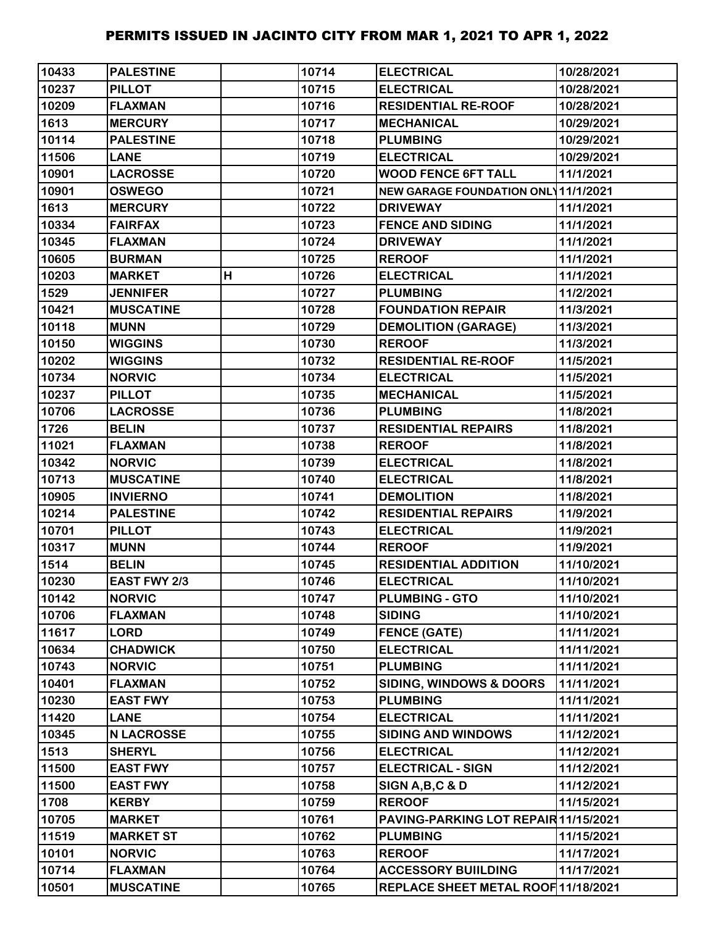| 10433 | <b>PALESTINE</b>    |   | 10714 | <b>ELECTRICAL</b>                    | 10/28/2021 |
|-------|---------------------|---|-------|--------------------------------------|------------|
| 10237 | <b>PILLOT</b>       |   | 10715 | <b>ELECTRICAL</b>                    | 10/28/2021 |
| 10209 | <b>FLAXMAN</b>      |   | 10716 | <b>RESIDENTIAL RE-ROOF</b>           | 10/28/2021 |
| 1613  | <b>MERCURY</b>      |   | 10717 | <b>MECHANICAL</b>                    | 10/29/2021 |
| 10114 | <b>PALESTINE</b>    |   | 10718 | <b>PLUMBING</b>                      | 10/29/2021 |
| 11506 | <b>LANE</b>         |   | 10719 | <b>ELECTRICAL</b>                    | 10/29/2021 |
| 10901 | <b>LACROSSE</b>     |   | 10720 | <b>WOOD FENCE 6FT TALL</b>           | 11/1/2021  |
| 10901 | <b>OSWEGO</b>       |   | 10721 | NEW GARAGE FOUNDATION ONL 11/1/2021  |            |
| 1613  | <b>MERCURY</b>      |   | 10722 | <b>DRIVEWAY</b>                      | 11/1/2021  |
| 10334 | <b>FAIRFAX</b>      |   | 10723 | <b>FENCE AND SIDING</b>              | 11/1/2021  |
| 10345 | <b>FLAXMAN</b>      |   | 10724 | <b>DRIVEWAY</b>                      | 11/1/2021  |
| 10605 | <b>BURMAN</b>       |   | 10725 | <b>REROOF</b>                        | 11/1/2021  |
| 10203 | <b>MARKET</b>       | H | 10726 | <b>ELECTRICAL</b>                    | 11/1/2021  |
| 1529  | <b>JENNIFER</b>     |   | 10727 | <b>PLUMBING</b>                      | 11/2/2021  |
| 10421 | <b>MUSCATINE</b>    |   | 10728 | <b>FOUNDATION REPAIR</b>             | 11/3/2021  |
| 10118 | <b>MUNN</b>         |   | 10729 | <b>DEMOLITION (GARAGE)</b>           | 11/3/2021  |
| 10150 | <b>WIGGINS</b>      |   | 10730 | <b>REROOF</b>                        | 11/3/2021  |
| 10202 | <b>WIGGINS</b>      |   | 10732 | <b>RESIDENTIAL RE-ROOF</b>           | 11/5/2021  |
| 10734 | <b>NORVIC</b>       |   | 10734 | <b>ELECTRICAL</b>                    | 11/5/2021  |
| 10237 | <b>PILLOT</b>       |   | 10735 | <b>MECHANICAL</b>                    | 11/5/2021  |
| 10706 | <b>LACROSSE</b>     |   | 10736 | <b>PLUMBING</b>                      | 11/8/2021  |
| 1726  | <b>BELIN</b>        |   | 10737 | <b>RESIDENTIAL REPAIRS</b>           | 11/8/2021  |
| 11021 | <b>FLAXMAN</b>      |   | 10738 | <b>REROOF</b>                        | 11/8/2021  |
| 10342 | <b>NORVIC</b>       |   | 10739 | <b>ELECTRICAL</b>                    | 11/8/2021  |
| 10713 | <b>MUSCATINE</b>    |   | 10740 | <b>ELECTRICAL</b>                    | 11/8/2021  |
| 10905 | <b>INVIERNO</b>     |   | 10741 | <b>DEMOLITION</b>                    | 11/8/2021  |
| 10214 | <b>PALESTINE</b>    |   | 10742 | <b>RESIDENTIAL REPAIRS</b>           | 11/9/2021  |
| 10701 | <b>PILLOT</b>       |   | 10743 | <b>ELECTRICAL</b>                    | 11/9/2021  |
| 10317 | <b>MUNN</b>         |   | 10744 | <b>REROOF</b>                        | 11/9/2021  |
| 1514  | <b>BELIN</b>        |   | 10745 | <b>RESIDENTIAL ADDITION</b>          | 11/10/2021 |
| 10230 | <b>EAST FWY 2/3</b> |   | 10746 | <b>ELECTRICAL</b>                    | 11/10/2021 |
| 10142 | <b>NORVIC</b>       |   | 10747 | <b>PLUMBING - GTO</b>                | 11/10/2021 |
| 10706 | <b>FLAXMAN</b>      |   | 10748 | <b>SIDING</b>                        | 11/10/2021 |
| 11617 | <b>LORD</b>         |   | 10749 | <b>FENCE (GATE)</b>                  | 11/11/2021 |
| 10634 | <b>CHADWICK</b>     |   | 10750 | <b>ELECTRICAL</b>                    | 11/11/2021 |
| 10743 | <b>NORVIC</b>       |   | 10751 | <b>PLUMBING</b>                      | 11/11/2021 |
| 10401 | <b>FLAXMAN</b>      |   | 10752 | <b>SIDING, WINDOWS &amp; DOORS</b>   | 11/11/2021 |
| 10230 | <b>EAST FWY</b>     |   | 10753 | <b>PLUMBING</b>                      | 11/11/2021 |
| 11420 | <b>LANE</b>         |   | 10754 | <b>ELECTRICAL</b>                    | 11/11/2021 |
| 10345 | <b>N LACROSSE</b>   |   | 10755 | <b>SIDING AND WINDOWS</b>            | 11/12/2021 |
| 1513  | <b>SHERYL</b>       |   | 10756 | <b>ELECTRICAL</b>                    | 11/12/2021 |
| 11500 | <b>EAST FWY</b>     |   | 10757 | <b>ELECTRICAL - SIGN</b>             | 11/12/2021 |
| 11500 | <b>EAST FWY</b>     |   | 10758 | SIGN A, B, C & D                     | 11/12/2021 |
| 1708  | <b>KERBY</b>        |   | 10759 | <b>REROOF</b>                        | 11/15/2021 |
| 10705 | <b>MARKET</b>       |   | 10761 | PAVING-PARKING LOT REPAIR 11/15/2021 |            |
| 11519 | <b>MARKET ST</b>    |   | 10762 | <b>PLUMBING</b>                      | 11/15/2021 |
| 10101 | <b>NORVIC</b>       |   | 10763 | <b>REROOF</b>                        | 11/17/2021 |
| 10714 | <b>FLAXMAN</b>      |   | 10764 | <b>ACCESSORY BUIILDING</b>           | 11/17/2021 |
| 10501 | <b>MUSCATINE</b>    |   | 10765 | REPLACE SHEET METAL ROOF 11/18/2021  |            |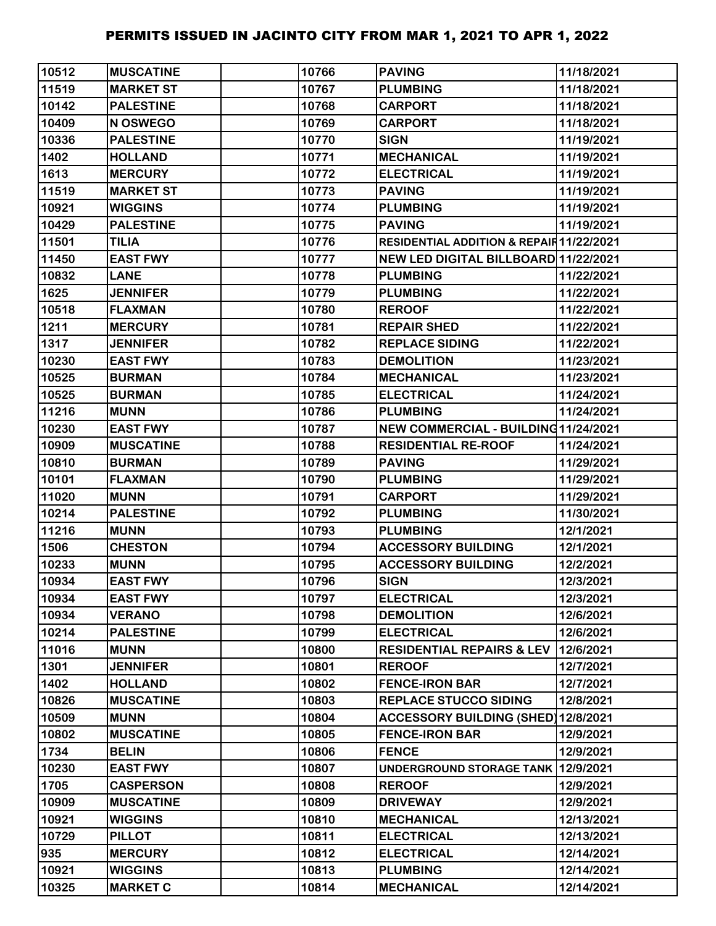| 10512 | <b>MUSCATINE</b> | 10766 | <b>PAVING</b>                            | 11/18/2021 |
|-------|------------------|-------|------------------------------------------|------------|
| 11519 | <b>MARKET ST</b> | 10767 | <b>PLUMBING</b>                          | 11/18/2021 |
| 10142 | <b>PALESTINE</b> | 10768 | <b>CARPORT</b>                           | 11/18/2021 |
| 10409 | N OSWEGO         | 10769 | <b>CARPORT</b>                           | 11/18/2021 |
| 10336 | <b>PALESTINE</b> | 10770 | <b>SIGN</b>                              | 11/19/2021 |
| 1402  | <b>HOLLAND</b>   | 10771 | <b>MECHANICAL</b>                        | 11/19/2021 |
| 1613  | <b>MERCURY</b>   | 10772 | <b>ELECTRICAL</b>                        | 11/19/2021 |
| 11519 | <b>MARKET ST</b> | 10773 | <b>PAVING</b>                            | 11/19/2021 |
| 10921 | <b>WIGGINS</b>   | 10774 | <b>PLUMBING</b>                          | 11/19/2021 |
| 10429 | <b>PALESTINE</b> | 10775 | <b>PAVING</b>                            | 11/19/2021 |
| 11501 | <b>TILIA</b>     | 10776 | RESIDENTIAL ADDITION & REPAIR 11/22/2021 |            |
| 11450 | <b>EAST FWY</b>  | 10777 | NEW LED DIGITAL BILLBOARD 11/22/2021     |            |
| 10832 | <b>LANE</b>      | 10778 | <b>PLUMBING</b>                          | 11/22/2021 |
| 1625  | <b>JENNIFER</b>  | 10779 | <b>PLUMBING</b>                          | 11/22/2021 |
| 10518 | <b>FLAXMAN</b>   | 10780 | <b>REROOF</b>                            | 11/22/2021 |
| 1211  | <b>MERCURY</b>   | 10781 | <b>REPAIR SHED</b>                       | 11/22/2021 |
| 1317  | <b>JENNIFER</b>  | 10782 | <b>REPLACE SIDING</b>                    | 11/22/2021 |
| 10230 | <b>EAST FWY</b>  | 10783 | <b>DEMOLITION</b>                        | 11/23/2021 |
| 10525 | <b>BURMAN</b>    | 10784 | <b>MECHANICAL</b>                        | 11/23/2021 |
| 10525 | <b>BURMAN</b>    | 10785 | <b>ELECTRICAL</b>                        | 11/24/2021 |
| 11216 | <b>MUNN</b>      | 10786 | <b>PLUMBING</b>                          | 11/24/2021 |
| 10230 | <b>EAST FWY</b>  | 10787 | NEW COMMERCIAL - BUILDING11/24/2021      |            |
| 10909 | <b>MUSCATINE</b> | 10788 | <b>RESIDENTIAL RE-ROOF</b>               | 11/24/2021 |
| 10810 | <b>BURMAN</b>    | 10789 | <b>PAVING</b>                            | 11/29/2021 |
| 10101 | <b>FLAXMAN</b>   | 10790 | <b>PLUMBING</b>                          | 11/29/2021 |
| 11020 | <b>MUNN</b>      | 10791 | <b>CARPORT</b>                           | 11/29/2021 |
| 10214 | <b>PALESTINE</b> | 10792 | <b>PLUMBING</b>                          | 11/30/2021 |
| 11216 | <b>MUNN</b>      | 10793 | <b>PLUMBING</b>                          | 12/1/2021  |
| 1506  | <b>CHESTON</b>   | 10794 | <b>ACCESSORY BUILDING</b>                | 12/1/2021  |
| 10233 | <b>MUNN</b>      | 10795 | <b>ACCESSORY BUILDING</b>                | 12/2/2021  |
| 10934 | <b>EAST FWY</b>  | 10796 | <b>SIGN</b>                              | 12/3/2021  |
| 10934 | <b>EAST FWY</b>  | 10797 | <b>ELECTRICAL</b>                        | 12/3/2021  |
| 10934 | <b>VERANO</b>    | 10798 | <b>DEMOLITION</b>                        | 12/6/2021  |
| 10214 | <b>PALESTINE</b> | 10799 | <b>ELECTRICAL</b>                        | 12/6/2021  |
| 11016 | <b>MUNN</b>      | 10800 | <b>RESIDENTIAL REPAIRS &amp; LEV</b>     | 12/6/2021  |
| 1301  | <b>JENNIFER</b>  | 10801 | <b>REROOF</b>                            | 12/7/2021  |
| 1402  | <b>HOLLAND</b>   | 10802 | <b>FENCE-IRON BAR</b>                    | 12/7/2021  |
| 10826 | <b>MUSCATINE</b> | 10803 | <b>REPLACE STUCCO SIDING</b>             | 12/8/2021  |
| 10509 | <b>MUNN</b>      | 10804 | ACCESSORY BUILDING (SHED) 12/8/2021      |            |
| 10802 | <b>MUSCATINE</b> | 10805 | <b>FENCE-IRON BAR</b>                    | 12/9/2021  |
| 1734  | <b>BELIN</b>     | 10806 | <b>FENCE</b>                             | 12/9/2021  |
| 10230 | <b>EAST FWY</b>  | 10807 | UNDERGROUND STORAGE TANK 12/9/2021       |            |
| 1705  | <b>CASPERSON</b> | 10808 | <b>REROOF</b>                            | 12/9/2021  |
| 10909 | <b>MUSCATINE</b> | 10809 | <b>DRIVEWAY</b>                          | 12/9/2021  |
| 10921 | <b>WIGGINS</b>   | 10810 | <b>MECHANICAL</b>                        | 12/13/2021 |
| 10729 | <b>PILLOT</b>    | 10811 | <b>ELECTRICAL</b>                        | 12/13/2021 |
| 935   | <b>MERCURY</b>   | 10812 | <b>ELECTRICAL</b>                        | 12/14/2021 |
| 10921 | <b>WIGGINS</b>   | 10813 | <b>PLUMBING</b>                          | 12/14/2021 |
| 10325 | <b>MARKET C</b>  | 10814 | <b>MECHANICAL</b>                        | 12/14/2021 |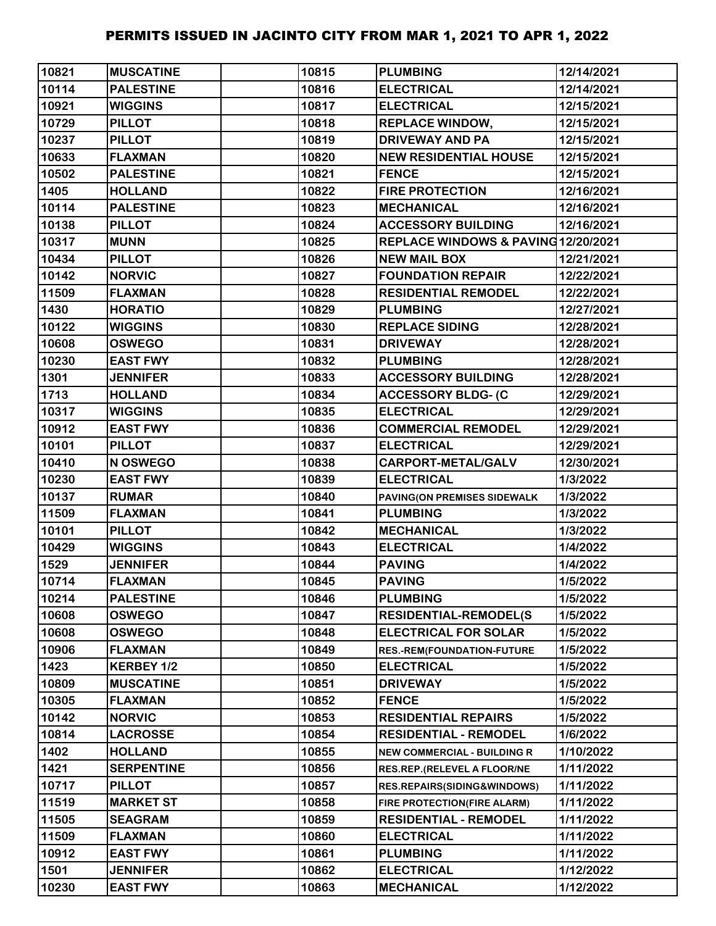| 10821 | <b>MUSCATINE</b>  | 10815 | <b>PLUMBING</b>                     | 12/14/2021 |
|-------|-------------------|-------|-------------------------------------|------------|
| 10114 | <b>PALESTINE</b>  | 10816 | <b>ELECTRICAL</b>                   | 12/14/2021 |
| 10921 | <b>WIGGINS</b>    | 10817 | <b>ELECTRICAL</b>                   | 12/15/2021 |
| 10729 | <b>PILLOT</b>     | 10818 | <b>REPLACE WINDOW,</b>              | 12/15/2021 |
| 10237 | <b>PILLOT</b>     | 10819 | <b>DRIVEWAY AND PA</b>              | 12/15/2021 |
| 10633 | <b>FLAXMAN</b>    | 10820 | <b>NEW RESIDENTIAL HOUSE</b>        | 12/15/2021 |
| 10502 | <b>PALESTINE</b>  | 10821 | <b>FENCE</b>                        | 12/15/2021 |
| 1405  | <b>HOLLAND</b>    | 10822 | <b>FIRE PROTECTION</b>              | 12/16/2021 |
| 10114 | <b>PALESTINE</b>  | 10823 | <b>MECHANICAL</b>                   | 12/16/2021 |
| 10138 | <b>PILLOT</b>     | 10824 | <b>ACCESSORY BUILDING</b>           | 12/16/2021 |
| 10317 | <b>MUNN</b>       | 10825 | REPLACE WINDOWS & PAVING 12/20/2021 |            |
| 10434 | <b>PILLOT</b>     | 10826 | <b>NEW MAIL BOX</b>                 | 12/21/2021 |
| 10142 | <b>NORVIC</b>     | 10827 | <b>FOUNDATION REPAIR</b>            | 12/22/2021 |
| 11509 | <b>FLAXMAN</b>    | 10828 | <b>RESIDENTIAL REMODEL</b>          | 12/22/2021 |
| 1430  | <b>HORATIO</b>    | 10829 | <b>PLUMBING</b>                     | 12/27/2021 |
| 10122 | <b>WIGGINS</b>    | 10830 | <b>REPLACE SIDING</b>               | 12/28/2021 |
| 10608 | <b>OSWEGO</b>     | 10831 | <b>DRIVEWAY</b>                     | 12/28/2021 |
| 10230 | <b>EAST FWY</b>   | 10832 | <b>PLUMBING</b>                     | 12/28/2021 |
| 1301  | <b>JENNIFER</b>   | 10833 | <b>ACCESSORY BUILDING</b>           | 12/28/2021 |
| 1713  | <b>HOLLAND</b>    | 10834 | <b>ACCESSORY BLDG- (C</b>           | 12/29/2021 |
| 10317 | <b>WIGGINS</b>    | 10835 | <b>ELECTRICAL</b>                   | 12/29/2021 |
| 10912 | <b>EAST FWY</b>   | 10836 | <b>COMMERCIAL REMODEL</b>           | 12/29/2021 |
| 10101 | <b>PILLOT</b>     | 10837 | <b>ELECTRICAL</b>                   | 12/29/2021 |
| 10410 | N OSWEGO          | 10838 | CARPORT-METAL/GALV                  | 12/30/2021 |
| 10230 | <b>EAST FWY</b>   | 10839 | <b>ELECTRICAL</b>                   | 1/3/2022   |
| 10137 | <b>RUMAR</b>      | 10840 | PAVING(ON PREMISES SIDEWALK         | 1/3/2022   |
| 11509 | <b>FLAXMAN</b>    | 10841 | <b>PLUMBING</b>                     | 1/3/2022   |
| 10101 | <b>PILLOT</b>     | 10842 | <b>MECHANICAL</b>                   | 1/3/2022   |
| 10429 | <b>WIGGINS</b>    | 10843 | <b>ELECTRICAL</b>                   | 1/4/2022   |
| 1529  | <b>JENNIFER</b>   | 10844 | <b>PAVING</b>                       | 1/4/2022   |
| 10714 | <b>FLAXMAN</b>    | 10845 | <b>PAVING</b>                       | 1/5/2022   |
| 10214 | <b>PALESTINE</b>  | 10846 | <b>PLUMBING</b>                     | 1/5/2022   |
| 10608 | <b>OSWEGO</b>     | 10847 | <b>RESIDENTIAL-REMODEL(S</b>        | 1/5/2022   |
| 10608 | <b>OSWEGO</b>     | 10848 | <b>ELECTRICAL FOR SOLAR</b>         | 1/5/2022   |
| 10906 | <b>FLAXMAN</b>    | 10849 | RES.-REM(FOUNDATION-FUTURE          | 1/5/2022   |
| 1423  | KERBEY 1/2        | 10850 | <b>ELECTRICAL</b>                   | 1/5/2022   |
| 10809 | <b>MUSCATINE</b>  | 10851 | <b>DRIVEWAY</b>                     | 1/5/2022   |
| 10305 | <b>FLAXMAN</b>    | 10852 | <b>FENCE</b>                        | 1/5/2022   |
| 10142 | <b>NORVIC</b>     | 10853 | <b>RESIDENTIAL REPAIRS</b>          | 1/5/2022   |
| 10814 | <b>LACROSSE</b>   | 10854 | <b>RESIDENTIAL - REMODEL</b>        | 1/6/2022   |
| 1402  | <b>HOLLAND</b>    | 10855 | <b>NEW COMMERCIAL - BUILDING R</b>  | 1/10/2022  |
| 1421  | <b>SERPENTINE</b> | 10856 | RES.REP.(RELEVEL A FLOOR/NE         | 1/11/2022  |
| 10717 | <b>PILLOT</b>     | 10857 | RES.REPAIRS(SIDING&WINDOWS)         | 1/11/2022  |
| 11519 | <b>MARKET ST</b>  | 10858 | FIRE PROTECTION(FIRE ALARM)         | 1/11/2022  |
| 11505 | <b>SEAGRAM</b>    | 10859 | <b>RESIDENTIAL - REMODEL</b>        | 1/11/2022  |
| 11509 | <b>FLAXMAN</b>    | 10860 | <b>ELECTRICAL</b>                   | 1/11/2022  |
| 10912 | <b>EAST FWY</b>   | 10861 | <b>PLUMBING</b>                     | 1/11/2022  |
| 1501  | <b>JENNIFER</b>   | 10862 | <b>ELECTRICAL</b>                   | 1/12/2022  |
| 10230 | <b>EAST FWY</b>   | 10863 | <b>MECHANICAL</b>                   | 1/12/2022  |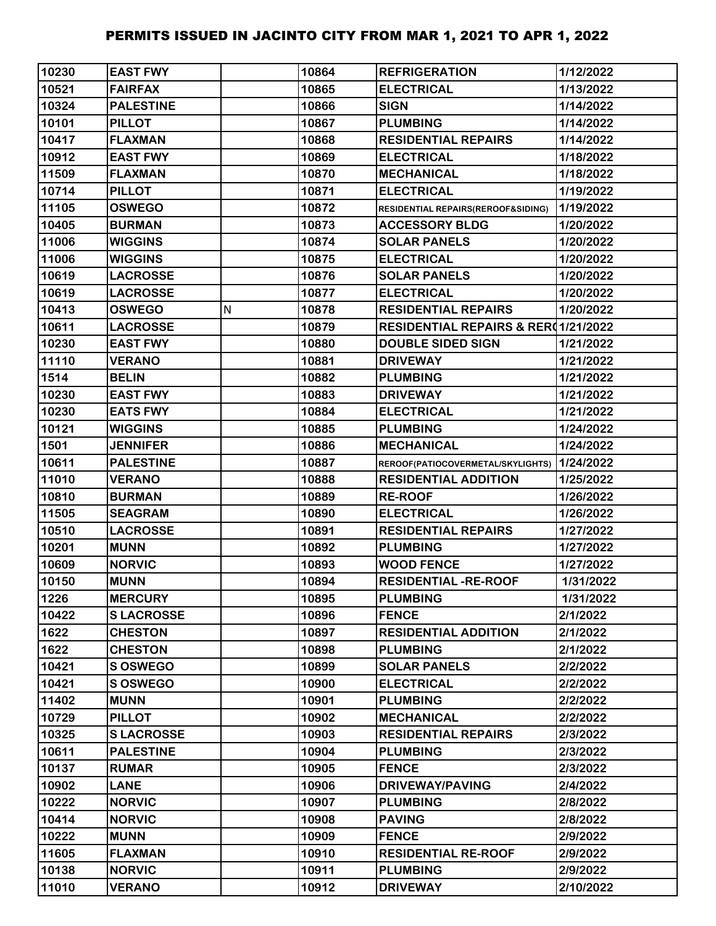| 10230 | <b>EAST FWY</b>  |   | 10864 | <b>REFRIGERATION</b>                | 1/12/2022 |
|-------|------------------|---|-------|-------------------------------------|-----------|
| 10521 | <b>FAIRFAX</b>   |   | 10865 | <b>ELECTRICAL</b>                   | 1/13/2022 |
| 10324 | <b>PALESTINE</b> |   | 10866 | <b>SIGN</b>                         | 1/14/2022 |
| 10101 | <b>PILLOT</b>    |   | 10867 | <b>PLUMBING</b>                     | 1/14/2022 |
| 10417 | <b>FLAXMAN</b>   |   | 10868 | <b>RESIDENTIAL REPAIRS</b>          | 1/14/2022 |
| 10912 | <b>EAST FWY</b>  |   | 10869 | <b>ELECTRICAL</b>                   | 1/18/2022 |
| 11509 | <b>FLAXMAN</b>   |   | 10870 | <b>MECHANICAL</b>                   | 1/18/2022 |
| 10714 | <b>PILLOT</b>    |   | 10871 | <b>ELECTRICAL</b>                   | 1/19/2022 |
| 11105 | <b>OSWEGO</b>    |   | 10872 | RESIDENTIAL REPAIRS(REROOF&SIDING)  | 1/19/2022 |
| 10405 | <b>BURMAN</b>    |   | 10873 | <b>ACCESSORY BLDG</b>               | 1/20/2022 |
| 11006 | <b>WIGGINS</b>   |   | 10874 | <b>SOLAR PANELS</b>                 | 1/20/2022 |
| 11006 | <b>WIGGINS</b>   |   | 10875 | <b>ELECTRICAL</b>                   | 1/20/2022 |
| 10619 | <b>LACROSSE</b>  |   | 10876 | <b>SOLAR PANELS</b>                 | 1/20/2022 |
| 10619 | <b>LACROSSE</b>  |   | 10877 | <b>ELECTRICAL</b>                   | 1/20/2022 |
| 10413 | <b>OSWEGO</b>    | N | 10878 | <b>RESIDENTIAL REPAIRS</b>          | 1/20/2022 |
| 10611 | <b>LACROSSE</b>  |   | 10879 | RESIDENTIAL REPAIRS & RER(1/21/2022 |           |
| 10230 | <b>EAST FWY</b>  |   | 10880 | <b>DOUBLE SIDED SIGN</b>            | 1/21/2022 |
| 11110 | <b>VERANO</b>    |   | 10881 | <b>DRIVEWAY</b>                     | 1/21/2022 |
| 1514  | <b>BELIN</b>     |   | 10882 | <b>PLUMBING</b>                     | 1/21/2022 |
| 10230 | <b>EAST FWY</b>  |   | 10883 | <b>DRIVEWAY</b>                     | 1/21/2022 |
| 10230 | <b>EATS FWY</b>  |   | 10884 | <b>ELECTRICAL</b>                   | 1/21/2022 |
| 10121 | <b>WIGGINS</b>   |   | 10885 | <b>PLUMBING</b>                     | 1/24/2022 |
| 1501  | <b>JENNIFER</b>  |   | 10886 | <b>MECHANICAL</b>                   | 1/24/2022 |
| 10611 | <b>PALESTINE</b> |   | 10887 | REROOF(PATIOCOVERMETAL/SKYLIGHTS)   | 1/24/2022 |
| 11010 | <b>VERANO</b>    |   | 10888 | <b>RESIDENTIAL ADDITION</b>         | 1/25/2022 |
| 10810 | <b>BURMAN</b>    |   | 10889 | <b>RE-ROOF</b>                      | 1/26/2022 |
| 11505 | <b>SEAGRAM</b>   |   | 10890 | <b>ELECTRICAL</b>                   | 1/26/2022 |
| 10510 | <b>LACROSSE</b>  |   | 10891 | <b>RESIDENTIAL REPAIRS</b>          | 1/27/2022 |
| 10201 | <b>MUNN</b>      |   | 10892 | <b>PLUMBING</b>                     | 1/27/2022 |
| 10609 | <b>NORVIC</b>    |   | 10893 | <b>WOOD FENCE</b>                   | 1/27/2022 |
| 10150 | <b>MUNN</b>      |   | 10894 | <b>RESIDENTIAL -RE-ROOF</b>         | 1/31/2022 |
| 1226  | <b>MERCURY</b>   |   | 10895 | <b>PLUMBING</b>                     | 1/31/2022 |
| 10422 | <b>SLACROSSE</b> |   | 10896 | <b>FENCE</b>                        | 2/1/2022  |
| 1622  | <b>CHESTON</b>   |   | 10897 | <b>RESIDENTIAL ADDITION</b>         | 2/1/2022  |
| 1622  | <b>CHESTON</b>   |   | 10898 | <b>PLUMBING</b>                     | 2/1/2022  |
| 10421 | S OSWEGO         |   | 10899 | <b>SOLAR PANELS</b>                 | 2/2/2022  |
| 10421 | <b>S OSWEGO</b>  |   | 10900 | <b>ELECTRICAL</b>                   | 2/2/2022  |
| 11402 | <b>MUNN</b>      |   | 10901 | <b>PLUMBING</b>                     | 2/2/2022  |
| 10729 | <b>PILLOT</b>    |   | 10902 | <b>MECHANICAL</b>                   | 2/2/2022  |
| 10325 | <b>SLACROSSE</b> |   | 10903 | <b>RESIDENTIAL REPAIRS</b>          | 2/3/2022  |
| 10611 | <b>PALESTINE</b> |   | 10904 | <b>PLUMBING</b>                     | 2/3/2022  |
| 10137 | <b>RUMAR</b>     |   | 10905 | <b>FENCE</b>                        | 2/3/2022  |
| 10902 | <b>LANE</b>      |   | 10906 | <b>DRIVEWAY/PAVING</b>              | 2/4/2022  |
| 10222 | <b>NORVIC</b>    |   | 10907 | <b>PLUMBING</b>                     | 2/8/2022  |
| 10414 | <b>NORVIC</b>    |   | 10908 | <b>PAVING</b>                       | 2/8/2022  |
| 10222 | <b>MUNN</b>      |   | 10909 | <b>FENCE</b>                        | 2/9/2022  |
| 11605 | <b>FLAXMAN</b>   |   | 10910 | <b>RESIDENTIAL RE-ROOF</b>          | 2/9/2022  |
| 10138 | <b>NORVIC</b>    |   | 10911 | <b>PLUMBING</b>                     | 2/9/2022  |
| 11010 | <b>VERANO</b>    |   | 10912 | <b>DRIVEWAY</b>                     | 2/10/2022 |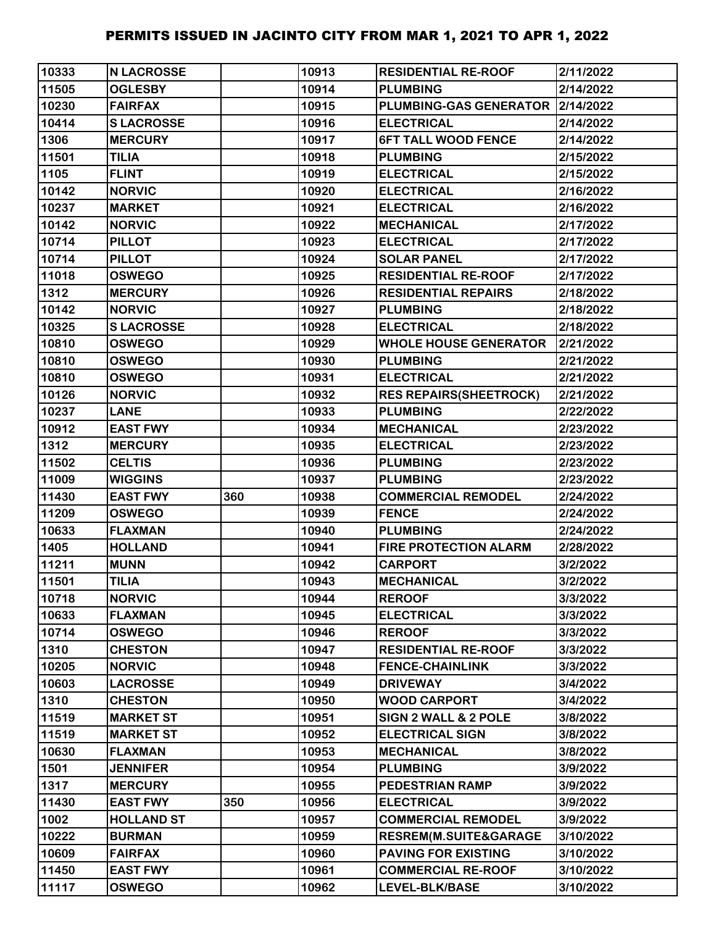| 10333 | <b>N LACROSSE</b> |     | 10913 | <b>RESIDENTIAL RE-ROOF</b>         | 2/11/2022 |
|-------|-------------------|-----|-------|------------------------------------|-----------|
| 11505 | <b>OGLESBY</b>    |     | 10914 | <b>PLUMBING</b>                    | 2/14/2022 |
| 10230 | <b>FAIRFAX</b>    |     | 10915 | PLUMBING-GAS GENERATOR   2/14/2022 |           |
| 10414 | <b>SLACROSSE</b>  |     | 10916 | <b>ELECTRICAL</b>                  | 2/14/2022 |
| 1306  | <b>MERCURY</b>    |     | 10917 | <b>6FT TALL WOOD FENCE</b>         | 2/14/2022 |
| 11501 | <b>TILIA</b>      |     | 10918 | <b>PLUMBING</b>                    | 2/15/2022 |
| 1105  | <b>FLINT</b>      |     | 10919 | <b>ELECTRICAL</b>                  | 2/15/2022 |
| 10142 | <b>NORVIC</b>     |     | 10920 | <b>ELECTRICAL</b>                  | 2/16/2022 |
| 10237 | <b>MARKET</b>     |     | 10921 | <b>ELECTRICAL</b>                  | 2/16/2022 |
| 10142 | <b>NORVIC</b>     |     | 10922 | <b>MECHANICAL</b>                  | 2/17/2022 |
| 10714 | <b>PILLOT</b>     |     | 10923 | <b>ELECTRICAL</b>                  | 2/17/2022 |
| 10714 | <b>PILLOT</b>     |     | 10924 | <b>SOLAR PANEL</b>                 | 2/17/2022 |
| 11018 | <b>OSWEGO</b>     |     | 10925 | <b>RESIDENTIAL RE-ROOF</b>         | 2/17/2022 |
| 1312  | <b>MERCURY</b>    |     | 10926 | <b>RESIDENTIAL REPAIRS</b>         | 2/18/2022 |
| 10142 | <b>NORVIC</b>     |     | 10927 | <b>PLUMBING</b>                    | 2/18/2022 |
| 10325 | <b>SLACROSSE</b>  |     | 10928 | <b>ELECTRICAL</b>                  | 2/18/2022 |
| 10810 | <b>OSWEGO</b>     |     | 10929 | <b>WHOLE HOUSE GENERATOR</b>       | 2/21/2022 |
| 10810 | <b>OSWEGO</b>     |     | 10930 | <b>PLUMBING</b>                    | 2/21/2022 |
| 10810 | <b>OSWEGO</b>     |     | 10931 | <b>ELECTRICAL</b>                  | 2/21/2022 |
| 10126 | <b>NORVIC</b>     |     | 10932 | <b>RES REPAIRS (SHEETROCK)</b>     | 2/21/2022 |
| 10237 | <b>LANE</b>       |     | 10933 | <b>PLUMBING</b>                    | 2/22/2022 |
| 10912 | <b>EAST FWY</b>   |     | 10934 | <b>MECHANICAL</b>                  | 2/23/2022 |
| 1312  | <b>MERCURY</b>    |     | 10935 | <b>ELECTRICAL</b>                  | 2/23/2022 |
| 11502 | <b>CELTIS</b>     |     | 10936 | <b>PLUMBING</b>                    | 2/23/2022 |
| 11009 | <b>WIGGINS</b>    |     | 10937 | <b>PLUMBING</b>                    | 2/23/2022 |
| 11430 | <b>EAST FWY</b>   | 360 | 10938 | <b>COMMERCIAL REMODEL</b>          | 2/24/2022 |
| 11209 | <b>OSWEGO</b>     |     | 10939 | <b>FENCE</b>                       | 2/24/2022 |
| 10633 | <b>FLAXMAN</b>    |     | 10940 | <b>PLUMBING</b>                    | 2/24/2022 |
| 1405  | <b>HOLLAND</b>    |     | 10941 | <b>FIRE PROTECTION ALARM</b>       | 2/28/2022 |
| 11211 | <b>MUNN</b>       |     | 10942 | <b>CARPORT</b>                     | 3/2/2022  |
| 11501 | <b>TILIA</b>      |     | 10943 | <b>MECHANICAL</b>                  | 3/2/2022  |
| 10718 | <b>NORVIC</b>     |     | 10944 | <b>REROOF</b>                      | 3/3/2022  |
| 10633 | <b>FLAXMAN</b>    |     | 10945 | <b>ELECTRICAL</b>                  | 3/3/2022  |
| 10714 | <b>OSWEGO</b>     |     | 10946 | <b>REROOF</b>                      | 3/3/2022  |
| 1310  | <b>CHESTON</b>    |     | 10947 | <b>RESIDENTIAL RE-ROOF</b>         | 3/3/2022  |
| 10205 | <b>NORVIC</b>     |     | 10948 | <b>FENCE-CHAINLINK</b>             | 3/3/2022  |
| 10603 | <b>LACROSSE</b>   |     | 10949 | <b>DRIVEWAY</b>                    | 3/4/2022  |
| 1310  | <b>CHESTON</b>    |     | 10950 | <b>WOOD CARPORT</b>                | 3/4/2022  |
| 11519 | <b>MARKET ST</b>  |     | 10951 | <b>SIGN 2 WALL &amp; 2 POLE</b>    | 3/8/2022  |
| 11519 | <b>MARKET ST</b>  |     | 10952 | <b>ELECTRICAL SIGN</b>             | 3/8/2022  |
| 10630 | <b>FLAXMAN</b>    |     | 10953 | <b>MECHANICAL</b>                  | 3/8/2022  |
| 1501  | <b>JENNIFER</b>   |     | 10954 | <b>PLUMBING</b>                    | 3/9/2022  |
| 1317  | <b>MERCURY</b>    |     | 10955 | <b>PEDESTRIAN RAMP</b>             | 3/9/2022  |
| 11430 | <b>EAST FWY</b>   | 350 | 10956 | <b>ELECTRICAL</b>                  | 3/9/2022  |
| 1002  | <b>HOLLAND ST</b> |     | 10957 | <b>COMMERCIAL REMODEL</b>          | 3/9/2022  |
| 10222 | <b>BURMAN</b>     |     | 10959 | <b>RESREM(M.SUITE&amp;GARAGE</b>   | 3/10/2022 |
| 10609 | <b>FAIRFAX</b>    |     | 10960 | <b>PAVING FOR EXISTING</b>         | 3/10/2022 |
| 11450 | <b>EAST FWY</b>   |     | 10961 | <b>COMMERCIAL RE-ROOF</b>          | 3/10/2022 |
| 11117 | <b>OSWEGO</b>     |     | 10962 | LEVEL-BLK/BASE                     | 3/10/2022 |